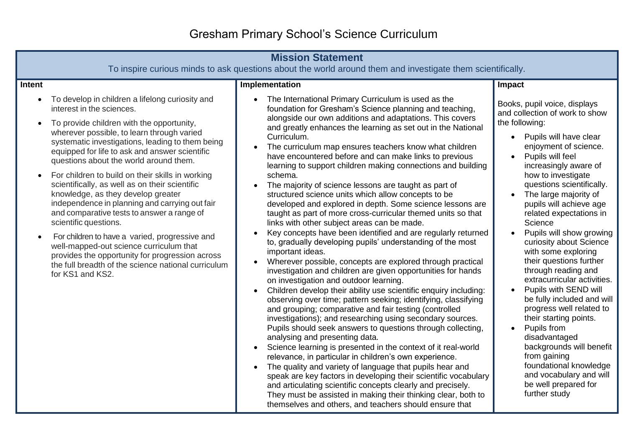|                                     |                                                                                                                                                                                                                                                                                                                                                                                                                                                                                                                                                                                                                                                                                                                                                                                                                         | <b>Mission Statement</b><br>To inspire curious minds to ask questions about the world around them and investigate them scientifically.                                                                                                                                                                                                                                                                                                                                                                                                                                                                                                                                                                                                                                                                                                                                                                                                                                                                                                                                                                                                                                                                                                                                                                                                                                                                                                                                                                                                                                                                                                                                                                                                                                                                                                                                                                                                               |                                                                                                                                                                                                                                                                                                                                                                                                                                                                                                                                                                                                                                                                                                                                                                                                  |
|-------------------------------------|-------------------------------------------------------------------------------------------------------------------------------------------------------------------------------------------------------------------------------------------------------------------------------------------------------------------------------------------------------------------------------------------------------------------------------------------------------------------------------------------------------------------------------------------------------------------------------------------------------------------------------------------------------------------------------------------------------------------------------------------------------------------------------------------------------------------------|------------------------------------------------------------------------------------------------------------------------------------------------------------------------------------------------------------------------------------------------------------------------------------------------------------------------------------------------------------------------------------------------------------------------------------------------------------------------------------------------------------------------------------------------------------------------------------------------------------------------------------------------------------------------------------------------------------------------------------------------------------------------------------------------------------------------------------------------------------------------------------------------------------------------------------------------------------------------------------------------------------------------------------------------------------------------------------------------------------------------------------------------------------------------------------------------------------------------------------------------------------------------------------------------------------------------------------------------------------------------------------------------------------------------------------------------------------------------------------------------------------------------------------------------------------------------------------------------------------------------------------------------------------------------------------------------------------------------------------------------------------------------------------------------------------------------------------------------------------------------------------------------------------------------------------------------------|--------------------------------------------------------------------------------------------------------------------------------------------------------------------------------------------------------------------------------------------------------------------------------------------------------------------------------------------------------------------------------------------------------------------------------------------------------------------------------------------------------------------------------------------------------------------------------------------------------------------------------------------------------------------------------------------------------------------------------------------------------------------------------------------------|
| Intent                              |                                                                                                                                                                                                                                                                                                                                                                                                                                                                                                                                                                                                                                                                                                                                                                                                                         | Implementation                                                                                                                                                                                                                                                                                                                                                                                                                                                                                                                                                                                                                                                                                                                                                                                                                                                                                                                                                                                                                                                                                                                                                                                                                                                                                                                                                                                                                                                                                                                                                                                                                                                                                                                                                                                                                                                                                                                                       | <b>Impact</b>                                                                                                                                                                                                                                                                                                                                                                                                                                                                                                                                                                                                                                                                                                                                                                                    |
| $\bullet$<br>$\bullet$<br>$\bullet$ | To develop in children a lifelong curiosity and<br>interest in the sciences.<br>To provide children with the opportunity,<br>wherever possible, to learn through varied<br>systematic investigations, leading to them being<br>equipped for life to ask and answer scientific<br>questions about the world around them.<br>For children to build on their skills in working<br>scientifically, as well as on their scientific<br>knowledge, as they develop greater<br>independence in planning and carrying out fair<br>and comparative tests to answer a range of<br>scientific questions.<br>For children to have a varied, progressive and<br>well-mapped-out science curriculum that<br>provides the opportunity for progression across<br>the full breadth of the science national curriculum<br>for KS1 and KS2. | The International Primary Curriculum is used as the<br>foundation for Gresham's Science planning and teaching,<br>alongside our own additions and adaptations. This covers<br>and greatly enhances the learning as set out in the National<br>Curriculum.<br>The curriculum map ensures teachers know what children<br>have encountered before and can make links to previous<br>learning to support children making connections and building<br>schema.<br>The majority of science lessons are taught as part of<br>structured science units which allow concepts to be<br>developed and explored in depth. Some science lessons are<br>taught as part of more cross-curricular themed units so that<br>links with other subject areas can be made.<br>Key concepts have been identified and are regularly returned<br>to, gradually developing pupils' understanding of the most<br>important ideas.<br>Wherever possible, concepts are explored through practical<br>$\bullet$<br>investigation and children are given opportunities for hands<br>on investigation and outdoor learning.<br>Children develop their ability use scientific enquiry including:<br>$\bullet$<br>observing over time; pattern seeking; identifying, classifying<br>and grouping; comparative and fair testing (controlled<br>investigations); and researching using secondary sources.<br>Pupils should seek answers to questions through collecting,<br>analysing and presenting data.<br>Science learning is presented in the context of it real-world<br>$\bullet$<br>relevance, in particular in children's own experience.<br>The quality and variety of language that pupils hear and<br>$\bullet$<br>speak are key factors in developing their scientific vocabulary<br>and articulating scientific concepts clearly and precisely.<br>They must be assisted in making their thinking clear, both to<br>themselves and others, and teachers should ensure that | Books, pupil voice, displays<br>and collection of work to show<br>the following:<br>Pupils will have clear<br>enjoyment of science.<br>Pupils will feel<br>increasingly aware of<br>how to investigate<br>questions scientifically.<br>The large majority of<br>pupils will achieve age<br>related expectations in<br>Science<br>Pupils will show growing<br>curiosity about Science<br>with some exploring<br>their questions further<br>through reading and<br>extracurricular activities.<br>Pupils with SEND will<br>$\bullet$<br>be fully included and will<br>progress well related to<br>their starting points.<br>Pupils from<br>disadvantaged<br>backgrounds will benefit<br>from gaining<br>foundational knowledge<br>and vocabulary and will<br>be well prepared for<br>further study |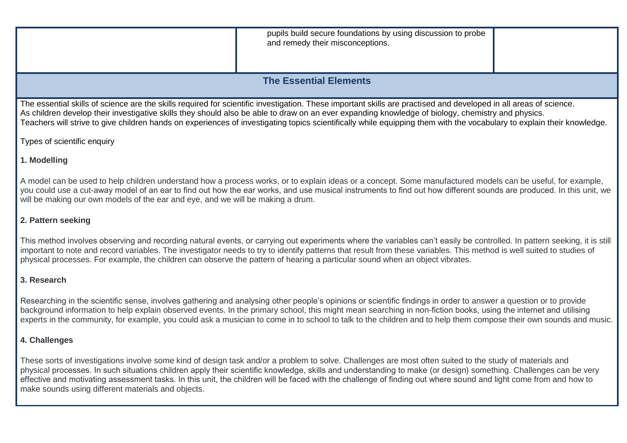|                                                                                                                                                                                                                                                                                                                                                                                                                                                                                                          | pupils build secure foundations by using discussion to probe<br>and remedy their misconceptions. |  |  |  |  |
|----------------------------------------------------------------------------------------------------------------------------------------------------------------------------------------------------------------------------------------------------------------------------------------------------------------------------------------------------------------------------------------------------------------------------------------------------------------------------------------------------------|--------------------------------------------------------------------------------------------------|--|--|--|--|
|                                                                                                                                                                                                                                                                                                                                                                                                                                                                                                          | <b>The Essential Elements</b>                                                                    |  |  |  |  |
|                                                                                                                                                                                                                                                                                                                                                                                                                                                                                                          |                                                                                                  |  |  |  |  |
| The essential skills of science are the skills required for scientific investigation. These important skills are practised and developed in all areas of science.<br>As children develop their investigative skills they should also be able to draw on an ever expanding knowledge of biology, chemistry and physics.<br>Teachers will strive to give children hands on experiences of investigating topics scientifically while equipping them with the vocabulary to explain their knowledge.         |                                                                                                  |  |  |  |  |
| Types of scientific enquiry                                                                                                                                                                                                                                                                                                                                                                                                                                                                              |                                                                                                  |  |  |  |  |
| 1. Modelling                                                                                                                                                                                                                                                                                                                                                                                                                                                                                             |                                                                                                  |  |  |  |  |
| A model can be used to help children understand how a process works, or to explain ideas or a concept. Some manufactured models can be useful, for example,<br>you could use a cut-away model of an ear to find out how the ear works, and use musical instruments to find out how different sounds are produced. In this unit, we<br>will be making our own models of the ear and eye, and we will be making a drum.                                                                                    |                                                                                                  |  |  |  |  |
| 2. Pattern seeking                                                                                                                                                                                                                                                                                                                                                                                                                                                                                       |                                                                                                  |  |  |  |  |
| This method involves observing and recording natural events, or carrying out experiments where the variables can't easily be controlled. In pattern seeking, it is still<br>important to note and record variables. The investigator needs to try to identify patterns that result from these variables. This method is well suited to studies of<br>physical processes. For example, the children can observe the pattern of hearing a particular sound when an object vibrates.                        |                                                                                                  |  |  |  |  |
| 3. Research                                                                                                                                                                                                                                                                                                                                                                                                                                                                                              |                                                                                                  |  |  |  |  |
| Researching in the scientific sense, involves gathering and analysing other people's opinions or scientific findings in order to answer a question or to provide<br>background information to help explain observed events. In the primary school, this might mean searching in non-fiction books, using the internet and utilising<br>experts in the community, for example, you could ask a musician to come in to school to talk to the children and to help them compose their own sounds and music. |                                                                                                  |  |  |  |  |
| 4. Challenges                                                                                                                                                                                                                                                                                                                                                                                                                                                                                            |                                                                                                  |  |  |  |  |
| These sorts of investigations involve some kind of design task and/or a problem to solve. Challenges are most often suited to the study of materials and<br>physical processes. In such situations children apply their scientific knowledge, skills and understanding to make (or design) something. Challenges can be very<br>effective and motivating assessment tasks. In this unit, the children will be faced with the challenge of finding out where sound and light come from and how to         |                                                                                                  |  |  |  |  |

make sounds using different materials and objects.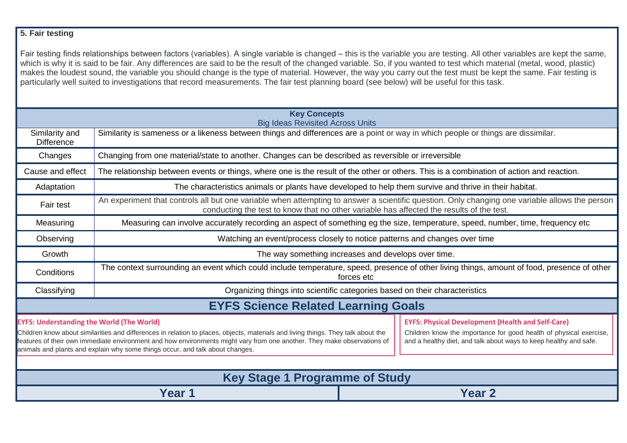## **5. Fair testing**

Fair testing finds relationships between factors (variables). A single variable is changed – this is the variable you are testing. All other variables are kept the same, which is why it is said to be fair. Any differences are said to be the result of the changed variable. So, if you wanted to test which material (metal, wood, plastic) makes the loudest sound, the variable you should change is the type of material. However, the way you carry out the test must be kept the same. Fair testing is particularly well suited to investigations that record measurements. The fair test planning board (see below) will be useful for this task.

|                                                                                                                                                                                                                                                                                                                                                                                                                                                                                                                                                                                                          | <b>Key Concepts</b><br><b>Big Ideas Revisited Across Units</b>                                                                                                                                                                             |            |  |  |  |
|----------------------------------------------------------------------------------------------------------------------------------------------------------------------------------------------------------------------------------------------------------------------------------------------------------------------------------------------------------------------------------------------------------------------------------------------------------------------------------------------------------------------------------------------------------------------------------------------------------|--------------------------------------------------------------------------------------------------------------------------------------------------------------------------------------------------------------------------------------------|------------|--|--|--|
| Similarity and<br><b>Difference</b>                                                                                                                                                                                                                                                                                                                                                                                                                                                                                                                                                                      | Similarity is sameness or a likeness between things and differences are a point or way in which people or things are dissimilar.                                                                                                           |            |  |  |  |
| Changes                                                                                                                                                                                                                                                                                                                                                                                                                                                                                                                                                                                                  | Changing from one material/state to another. Changes can be described as reversible or irreversible                                                                                                                                        |            |  |  |  |
| Cause and effect                                                                                                                                                                                                                                                                                                                                                                                                                                                                                                                                                                                         | The relationship between events or things, where one is the result of the other or others. This is a combination of action and reaction.                                                                                                   |            |  |  |  |
| Adaptation                                                                                                                                                                                                                                                                                                                                                                                                                                                                                                                                                                                               | The characteristics animals or plants have developed to help them survive and thrive in their habitat.                                                                                                                                     |            |  |  |  |
| Fair test                                                                                                                                                                                                                                                                                                                                                                                                                                                                                                                                                                                                | An experiment that controls all but one variable when attempting to answer a scientific question. Only changing one variable allows the person<br>conducting the test to know that no other variable has affected the results of the test. |            |  |  |  |
| Measuring                                                                                                                                                                                                                                                                                                                                                                                                                                                                                                                                                                                                | Measuring can involve accurately recording an aspect of something eg the size, temperature, speed, number, time, frequency etc                                                                                                             |            |  |  |  |
| Observing                                                                                                                                                                                                                                                                                                                                                                                                                                                                                                                                                                                                | Watching an event/process closely to notice patterns and changes over time                                                                                                                                                                 |            |  |  |  |
| Growth                                                                                                                                                                                                                                                                                                                                                                                                                                                                                                                                                                                                   | The way something increases and develops over time.                                                                                                                                                                                        |            |  |  |  |
| Conditions                                                                                                                                                                                                                                                                                                                                                                                                                                                                                                                                                                                               | The context surrounding an event which could include temperature, speed, presence of other living things, amount of food, presence of other                                                                                                | forces etc |  |  |  |
| Classifying                                                                                                                                                                                                                                                                                                                                                                                                                                                                                                                                                                                              | Organizing things into scientific categories based on their characteristics                                                                                                                                                                |            |  |  |  |
|                                                                                                                                                                                                                                                                                                                                                                                                                                                                                                                                                                                                          | <b>EYFS Science Related Learning Goals</b>                                                                                                                                                                                                 |            |  |  |  |
| <b>EYFS: Understanding the World (The World)</b><br><b>EYFS: Physical Development (Health and Self-Care)</b><br>Children know about similarities and differences in relation to places, objects, materials and living things. They talk about the<br>Children know the importance for good health of physical exercise,<br>features of their own immediate environment and how environments might vary from one another. They make observations of<br>and a healthy diet, and talk about ways to keep healthy and safe.<br>animals and plants and explain why some things occur, and talk about changes. |                                                                                                                                                                                                                                            |            |  |  |  |
| <b>Key Stage 1 Programme of Study</b>                                                                                                                                                                                                                                                                                                                                                                                                                                                                                                                                                                    |                                                                                                                                                                                                                                            |            |  |  |  |
| <b>Year 2</b><br>Year 1                                                                                                                                                                                                                                                                                                                                                                                                                                                                                                                                                                                  |                                                                                                                                                                                                                                            |            |  |  |  |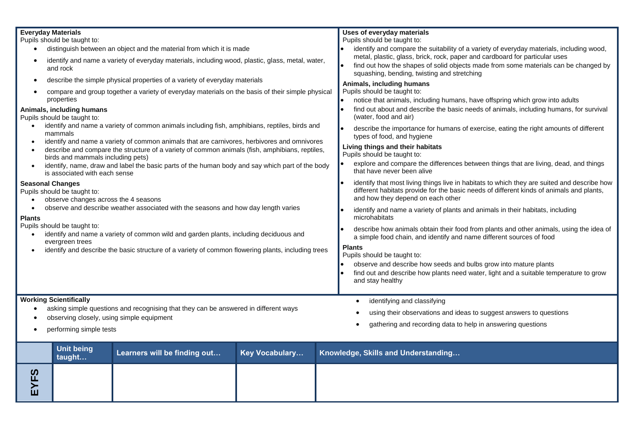| <b>Plants</b>                                                                                                                                                                                | <b>Everyday Materials</b><br>Pupils should be taught to:<br>and rock<br>properties<br>Animals, including humans<br>Pupils should be taught to:<br>mammals<br>birds and mammals including pets)<br>is associated with each sense<br><b>Seasonal Changes</b><br>Pupils should be taught to:<br>observe changes across the 4 seasons<br>Pupils should be taught to:<br>evergreen trees | distinguish between an object and the material from which it is made<br>identify and name a variety of everyday materials, including wood, plastic, glass, metal, water,<br>describe the simple physical properties of a variety of everyday materials<br>compare and group together a variety of everyday materials on the basis of their simple physical<br>identify and name a variety of common animals including fish, amphibians, reptiles, birds and<br>identify and name a variety of common animals that are carnivores, herbivores and omnivores<br>describe and compare the structure of a variety of common animals (fish, amphibians, reptiles,<br>identify, name, draw and label the basic parts of the human body and say which part of the body<br>observe and describe weather associated with the seasons and how day length varies<br>identify and name a variety of common wild and garden plants, including deciduous and<br>identify and describe the basic structure of a variety of common flowering plants, including trees |                                                                                                                                                                               | <b>Uses of everyday materials</b><br>Pupils should be taught to:<br>identify and compare the suitability of a variety of everyday materials, including wood,<br>metal, plastic, glass, brick, rock, paper and cardboard for particular uses<br>find out how the shapes of solid objects made from some materials can be changed by<br>squashing, bending, twisting and stretching<br>Animals, including humans<br>Pupils should be taught to:<br>notice that animals, including humans, have offspring which grow into adults<br>find out about and describe the basic needs of animals, including humans, for survival<br>(water, food and air)<br>describe the importance for humans of exercise, eating the right amounts of different<br>types of food, and hygiene<br>Living things and their habitats<br>Pupils should be taught to:<br>explore and compare the differences between things that are living, dead, and things<br>that have never been alive<br>identify that most living things live in habitats to which they are suited and describe how<br>different habitats provide for the basic needs of different kinds of animals and plants,<br>and how they depend on each other<br>identify and name a variety of plants and animals in their habitats, including<br>microhabitats<br>describe how animals obtain their food from plants and other animals, using the idea of<br>a simple food chain, and identify and name different sources of food<br><b>Plants</b><br>Pupils should be taught to:<br>observe and describe how seeds and bulbs grow into mature plants<br>find out and describe how plants need water, light and a suitable temperature to grow<br>and stay healthy |
|----------------------------------------------------------------------------------------------------------------------------------------------------------------------------------------------|-------------------------------------------------------------------------------------------------------------------------------------------------------------------------------------------------------------------------------------------------------------------------------------------------------------------------------------------------------------------------------------|------------------------------------------------------------------------------------------------------------------------------------------------------------------------------------------------------------------------------------------------------------------------------------------------------------------------------------------------------------------------------------------------------------------------------------------------------------------------------------------------------------------------------------------------------------------------------------------------------------------------------------------------------------------------------------------------------------------------------------------------------------------------------------------------------------------------------------------------------------------------------------------------------------------------------------------------------------------------------------------------------------------------------------------------------|-------------------------------------------------------------------------------------------------------------------------------------------------------------------------------|---------------------------------------------------------------------------------------------------------------------------------------------------------------------------------------------------------------------------------------------------------------------------------------------------------------------------------------------------------------------------------------------------------------------------------------------------------------------------------------------------------------------------------------------------------------------------------------------------------------------------------------------------------------------------------------------------------------------------------------------------------------------------------------------------------------------------------------------------------------------------------------------------------------------------------------------------------------------------------------------------------------------------------------------------------------------------------------------------------------------------------------------------------------------------------------------------------------------------------------------------------------------------------------------------------------------------------------------------------------------------------------------------------------------------------------------------------------------------------------------------------------------------------------------------------------------------------------------------------------------------------------------------------------------------------------------------------|
| <b>Working Scientifically</b><br>asking simple questions and recognising that they can be answered in different ways<br>observing closely, using simple equipment<br>performing simple tests |                                                                                                                                                                                                                                                                                                                                                                                     |                                                                                                                                                                                                                                                                                                                                                                                                                                                                                                                                                                                                                                                                                                                                                                                                                                                                                                                                                                                                                                                      | identifying and classifying<br>$\bullet$<br>using their observations and ideas to suggest answers to questions<br>gathering and recording data to help in answering questions |                                                                                                                                                                                                                                                                                                                                                                                                                                                                                                                                                                                                                                                                                                                                                                                                                                                                                                                                                                                                                                                                                                                                                                                                                                                                                                                                                                                                                                                                                                                                                                                                                                                                                                         |
|                                                                                                                                                                                              | <b>Unit being</b>                                                                                                                                                                                                                                                                                                                                                                   | Learners will be finding out                                                                                                                                                                                                                                                                                                                                                                                                                                                                                                                                                                                                                                                                                                                                                                                                                                                                                                                                                                                                                         | <b>Key Vocabulary</b>                                                                                                                                                         | Knowledge, Skills and Understanding                                                                                                                                                                                                                                                                                                                                                                                                                                                                                                                                                                                                                                                                                                                                                                                                                                                                                                                                                                                                                                                                                                                                                                                                                                                                                                                                                                                                                                                                                                                                                                                                                                                                     |

|               | ∣ ∪nit being<br>$\mathsf{taught} \dots$ | Learners will be finding out | <b>Key Vocabulary</b> | Knowledge, Skills and Understanding |
|---------------|-----------------------------------------|------------------------------|-----------------------|-------------------------------------|
| <b>S</b><br>ш |                                         |                              |                       |                                     |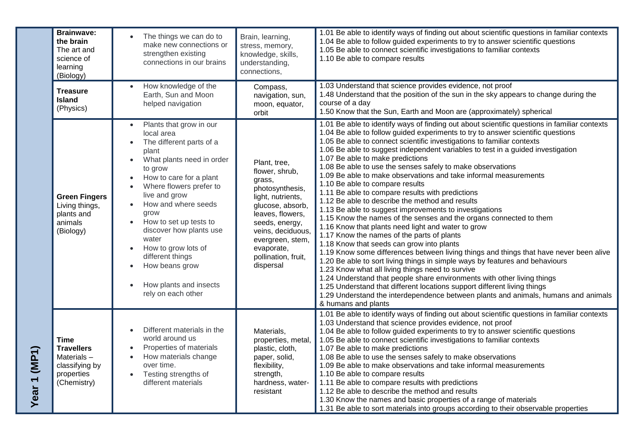|              | Brainwave:<br>the brain<br>The art and<br>science of<br>learning<br>(Biology)                 | The things we can do to<br>make new connections or<br>strengthen existing<br>connections in our brains                                                                                                                                                                                                                                                                                                                                                               | Brain, learning,<br>stress, memory,<br>knowledge, skills,<br>understanding,<br>connections,                                                                                                                                           | 1.01 Be able to identify ways of finding out about scientific questions in familiar contexts<br>1.04 Be able to follow guided experiments to try to answer scientific questions<br>1.05 Be able to connect scientific investigations to familiar contexts<br>1.10 Be able to compare results                                                                                                                                                                                                                                                                                                                                                                                                                                                                                                                                                                                                                                                                                                                                                                                                                                                                                                                                                                                                                                                                                                                                                    |
|--------------|-----------------------------------------------------------------------------------------------|----------------------------------------------------------------------------------------------------------------------------------------------------------------------------------------------------------------------------------------------------------------------------------------------------------------------------------------------------------------------------------------------------------------------------------------------------------------------|---------------------------------------------------------------------------------------------------------------------------------------------------------------------------------------------------------------------------------------|-------------------------------------------------------------------------------------------------------------------------------------------------------------------------------------------------------------------------------------------------------------------------------------------------------------------------------------------------------------------------------------------------------------------------------------------------------------------------------------------------------------------------------------------------------------------------------------------------------------------------------------------------------------------------------------------------------------------------------------------------------------------------------------------------------------------------------------------------------------------------------------------------------------------------------------------------------------------------------------------------------------------------------------------------------------------------------------------------------------------------------------------------------------------------------------------------------------------------------------------------------------------------------------------------------------------------------------------------------------------------------------------------------------------------------------------------|
|              | <b>Treasure</b><br><b>Island</b><br>(Physics)                                                 | How knowledge of the<br>Earth, Sun and Moon<br>helped navigation                                                                                                                                                                                                                                                                                                                                                                                                     | Compass,<br>navigation, sun,<br>moon, equator,<br>orbit                                                                                                                                                                               | 1.03 Understand that science provides evidence, not proof<br>1.48 Understand that the position of the sun in the sky appears to change during the<br>course of a day<br>1.50 Know that the Sun, Earth and Moon are (approximately) spherical                                                                                                                                                                                                                                                                                                                                                                                                                                                                                                                                                                                                                                                                                                                                                                                                                                                                                                                                                                                                                                                                                                                                                                                                    |
|              | <b>Green Fingers</b><br>Living things,<br>plants and<br>animals<br>(Biology)                  | Plants that grow in our<br>local area<br>The different parts of a<br>$\bullet$<br>plant<br>What plants need in order<br>$\bullet$<br>to grow<br>How to care for a plant<br>$\bullet$<br>Where flowers prefer to<br>live and grow<br>How and where seeds<br>grow<br>How to set up tests to<br>discover how plants use<br>water<br>How to grow lots of<br>$\bullet$<br>different things<br>How beans grow<br>$\bullet$<br>How plants and insects<br>rely on each other | Plant, tree,<br>flower, shrub,<br>grass,<br>photosynthesis,<br>light, nutrients,<br>glucose, absorb,<br>leaves, flowers,<br>seeds, energy,<br>veins, deciduous,<br>evergreen, stem,<br>evaporate,<br>pollination, fruit,<br>dispersal | 1.01 Be able to identify ways of finding out about scientific questions in familiar contexts<br>1.04 Be able to follow guided experiments to try to answer scientific questions<br>1.05 Be able to connect scientific investigations to familiar contexts<br>1.06 Be able to suggest independent variables to test in a guided investigation<br>1.07 Be able to make predictions<br>1.08 Be able to use the senses safely to make observations<br>1.09 Be able to make observations and take informal measurements<br>1.10 Be able to compare results<br>1.11 Be able to compare results with predictions<br>1.12 Be able to describe the method and results<br>1.13 Be able to suggest improvements to investigations<br>1.15 Know the names of the senses and the organs connected to them<br>1.16 Know that plants need light and water to grow<br>1.17 Know the names of the parts of plants<br>1.18 Know that seeds can grow into plants<br>1.19 Know some differences between living things and things that have never been alive<br>1.20 Be able to sort living things in simple ways by features and behaviours<br>1.23 Know what all living things need to survive<br>1.24 Understand that people share environments with other living things<br>1.25 Understand that different locations support different living things<br>1.29 Understand the interdependence between plants and animals, humans and animals<br>& humans and plants |
| Year 1 (MP1) | <b>Time</b><br><b>Travellers</b><br>Materials-<br>classifying by<br>properties<br>(Chemistry) | Different materials in the<br>$\bullet$<br>world around us<br>Properties of materials<br>How materials change<br>$\bullet$<br>over time.<br>Testing strengths of<br>$\bullet$<br>different materials                                                                                                                                                                                                                                                                 | Materials,<br>properties, metal,<br>plastic, cloth,<br>paper, solid,<br>flexibility,<br>strength,<br>hardness, water-<br>resistant                                                                                                    | 1.01 Be able to identify ways of finding out about scientific questions in familiar contexts<br>1.03 Understand that science provides evidence, not proof<br>1.04 Be able to follow guided experiments to try to answer scientific questions<br>1.05 Be able to connect scientific investigations to familiar contexts<br>1.07 Be able to make predictions<br>1.08 Be able to use the senses safely to make observations<br>1.09 Be able to make observations and take informal measurements<br>1.10 Be able to compare results<br>1.11 Be able to compare results with predictions<br>1.12 Be able to describe the method and results<br>1.30 Know the names and basic properties of a range of materials<br>1.31 Be able to sort materials into groups according to their observable properties                                                                                                                                                                                                                                                                                                                                                                                                                                                                                                                                                                                                                                               |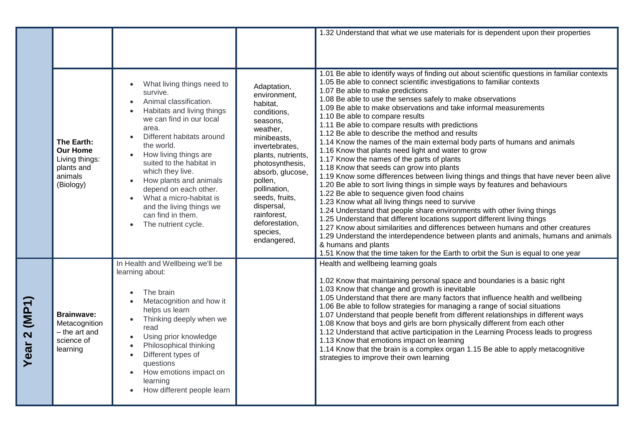|                                    |                                                                                       |                                                                                                                                                                                                                                                                                                                                                                                                               |                                                                                                                                                                                                                                                                                                     | 1.32 Understand that what we use materials for is dependent upon their properties                                                                                                                                                                                                                                                                                                                                                                                                                                                                                                                                                                                                                                                                                                                                                                                                                                                                                                                                                                                                                                                                                                                                                                                                                                                                       |
|------------------------------------|---------------------------------------------------------------------------------------|---------------------------------------------------------------------------------------------------------------------------------------------------------------------------------------------------------------------------------------------------------------------------------------------------------------------------------------------------------------------------------------------------------------|-----------------------------------------------------------------------------------------------------------------------------------------------------------------------------------------------------------------------------------------------------------------------------------------------------|---------------------------------------------------------------------------------------------------------------------------------------------------------------------------------------------------------------------------------------------------------------------------------------------------------------------------------------------------------------------------------------------------------------------------------------------------------------------------------------------------------------------------------------------------------------------------------------------------------------------------------------------------------------------------------------------------------------------------------------------------------------------------------------------------------------------------------------------------------------------------------------------------------------------------------------------------------------------------------------------------------------------------------------------------------------------------------------------------------------------------------------------------------------------------------------------------------------------------------------------------------------------------------------------------------------------------------------------------------|
|                                    | The Earth:<br><b>Our Home</b><br>Living things:<br>plants and<br>animals<br>(Biology) | What living things need to<br>survive.<br>Animal classification.<br>Habitats and living things<br>we can find in our local<br>area.<br>Different habitats around<br>the world.<br>How living things are<br>suited to the habitat in<br>which they live.<br>How plants and animals<br>depend on each other.<br>What a micro-habitat is<br>and the living things we<br>can find in them.<br>The nutrient cycle. | Adaptation,<br>environment,<br>habitat,<br>conditions,<br>seasons,<br>weather,<br>minibeasts,<br>invertebrates,<br>plants, nutrients,<br>photosynthesis,<br>absorb, glucose,<br>pollen,<br>pollination,<br>seeds, fruits,<br>dispersal,<br>rainforest,<br>deforestation,<br>species,<br>endangered, | 1.01 Be able to identify ways of finding out about scientific questions in familiar contexts<br>1.05 Be able to connect scientific investigations to familiar contexts<br>1.07 Be able to make predictions<br>1.08 Be able to use the senses safely to make observations<br>1.09 Be able to make observations and take informal measurements<br>1.10 Be able to compare results<br>1.11 Be able to compare results with predictions<br>1.12 Be able to describe the method and results<br>1.14 Know the names of the main external body parts of humans and animals<br>1.16 Know that plants need light and water to grow<br>1.17 Know the names of the parts of plants<br>1.18 Know that seeds can grow into plants<br>1.19 Know some differences between living things and things that have never been alive<br>1.20 Be able to sort living things in simple ways by features and behaviours<br>1.22 Be able to sequence given food chains<br>1.23 Know what all living things need to survive<br>1.24 Understand that people share environments with other living things<br>1.25 Understand that different locations support different living things<br>1.27 Know about similarities and differences between humans and other creatures<br>1.29 Understand the interdependence between plants and animals, humans and animals<br>& humans and plants |
| (MP1)<br>$\mathbf{\Omega}$<br>Year | <b>Brainwave:</b><br>Metacognition<br>- the art and<br>science of<br>learning         | In Health and Wellbeing we'll be<br>learning about:<br>The brain<br>Metacognition and how it<br>helps us learn<br>Thinking deeply when we<br>$\bullet$<br>read<br>Using prior knowledge<br>$\bullet$<br>Philosophical thinking<br>Different types of<br>$\bullet$<br>questions<br>How emotions impact on<br>learning<br>How different people learn                                                            |                                                                                                                                                                                                                                                                                                     | 1.51 Know that the time taken for the Earth to orbit the Sun is equal to one year<br>Health and wellbeing learning goals<br>1.02 Know that maintaining personal space and boundaries is a basic right<br>1.03 Know that change and growth is inevitable<br>1.05 Understand that there are many factors that influence health and wellbeing<br>1.06 Be able to follow strategies for managing a range of social situations<br>1.07 Understand that people benefit from different relationships in different ways<br>1.08 Know that boys and girls are born physically different from each other<br>1.12 Understand that active participation in the Learning Process leads to progress<br>1.13 Know that emotions impact on learning<br>1.14 Know that the brain is a complex organ 1.15 Be able to apply metacognitive<br>strategies to improve their own learning                                                                                                                                                                                                                                                                                                                                                                                                                                                                                      |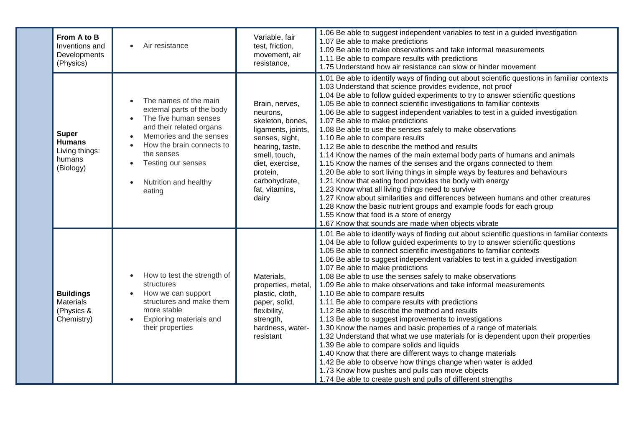|  | From A to B<br>Inventions and<br>Developments<br>(Physics)             | Air resistance                                                                                                                                                                                                                                                    | Variable, fair<br>test, friction,<br>movement, air<br>resistance,                                                                                                                                     | 1.06 Be able to suggest independent variables to test in a guided investigation<br>1.07 Be able to make predictions<br>1.09 Be able to make observations and take informal measurements<br>1.11 Be able to compare results with predictions<br>1.75 Understand how air resistance can slow or hinder movement                                                                                                                                                                                                                                                                                                                                                                                                                                                                                                                                                                                                                                                                                                                                                                                                                                                                                                      |
|--|------------------------------------------------------------------------|-------------------------------------------------------------------------------------------------------------------------------------------------------------------------------------------------------------------------------------------------------------------|-------------------------------------------------------------------------------------------------------------------------------------------------------------------------------------------------------|--------------------------------------------------------------------------------------------------------------------------------------------------------------------------------------------------------------------------------------------------------------------------------------------------------------------------------------------------------------------------------------------------------------------------------------------------------------------------------------------------------------------------------------------------------------------------------------------------------------------------------------------------------------------------------------------------------------------------------------------------------------------------------------------------------------------------------------------------------------------------------------------------------------------------------------------------------------------------------------------------------------------------------------------------------------------------------------------------------------------------------------------------------------------------------------------------------------------|
|  | <b>Super</b><br><b>Humans</b><br>Living things:<br>humans<br>(Biology) | The names of the main<br>external parts of the body<br>The five human senses<br>$\bullet$<br>and their related organs<br>Memories and the senses<br>$\bullet$<br>How the brain connects to<br>the senses<br>Testing our senses<br>Nutrition and healthy<br>eating | Brain, nerves,<br>neurons,<br>skeleton, bones,<br>ligaments, joints,<br>senses, sight,<br>hearing, taste,<br>smell, touch,<br>diet, exercise,<br>protein,<br>carbohydrate,<br>fat, vitamins,<br>dairy | 1.01 Be able to identify ways of finding out about scientific questions in familiar contexts<br>1.03 Understand that science provides evidence, not proof<br>1.04 Be able to follow guided experiments to try to answer scientific questions<br>1.05 Be able to connect scientific investigations to familiar contexts<br>1.06 Be able to suggest independent variables to test in a guided investigation<br>1.07 Be able to make predictions<br>1.08 Be able to use the senses safely to make observations<br>1.10 Be able to compare results<br>1.12 Be able to describe the method and results<br>1.14 Know the names of the main external body parts of humans and animals<br>1.15 Know the names of the senses and the organs connected to them<br>1.20 Be able to sort living things in simple ways by features and behaviours<br>1.21 Know that eating food provides the body with energy<br>1.23 Know what all living things need to survive<br>1.27 Know about similarities and differences between humans and other creatures<br>1.28 Know the basic nutrient groups and example foods for each group<br>1.55 Know that food is a store of energy<br>1.67 Know that sounds are made when objects vibrate |
|  | <b>Buildings</b><br><b>Materials</b><br>(Physics &<br>Chemistry)       | How to test the strength of<br>structures<br>How we can support<br>structures and make them<br>more stable<br>Exploring materials and<br>$\bullet$<br>their properties                                                                                            | Materials,<br>properties, metal,<br>plastic, cloth,<br>paper, solid,<br>flexibility,<br>strength,<br>hardness, water-<br>resistant                                                                    | 1.01 Be able to identify ways of finding out about scientific questions in familiar contexts<br>1.04 Be able to follow guided experiments to try to answer scientific questions<br>1.05 Be able to connect scientific investigations to familiar contexts<br>1.06 Be able to suggest independent variables to test in a guided investigation<br>1.07 Be able to make predictions<br>1.08 Be able to use the senses safely to make observations<br>1.09 Be able to make observations and take informal measurements<br>1.10 Be able to compare results<br>1.11 Be able to compare results with predictions<br>1.12 Be able to describe the method and results<br>1.13 Be able to suggest improvements to investigations<br>1.30 Know the names and basic properties of a range of materials<br>1.32 Understand that what we use materials for is dependent upon their properties<br>1.39 Be able to compare solids and liquids<br>1.40 Know that there are different ways to change materials<br>1.42 Be able to observe how things change when water is added<br>1.73 Know how pushes and pulls can move objects<br>1.74 Be able to create push and pulls of different strengths                                   |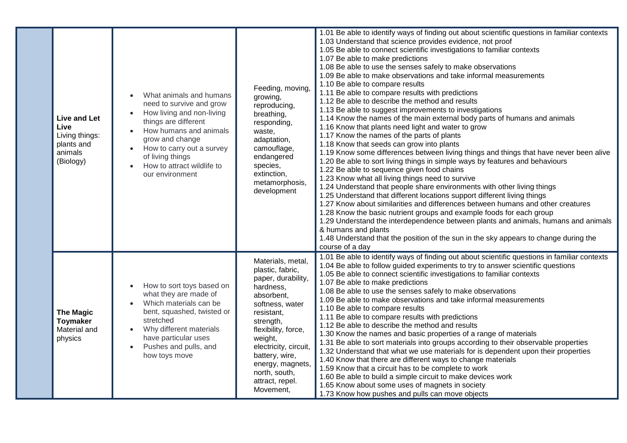| <b>Live and Let</b><br>Live<br>Living things:<br>plants and<br>animals<br>(Biology) | What animals and humans<br>need to survive and grow<br>How living and non-living<br>things are different<br>How humans and animals<br>grow and change<br>How to carry out a survey<br>of living things<br>How to attract wildlife to<br>our environment | Feeding, moving,<br>growing,<br>reproducing,<br>breathing,<br>responding,<br>waste,<br>adaptation,<br>camouflage,<br>endangered<br>species,<br>extinction,<br>metamorphosis,<br>development                                                                                            | 1.01 Be able to identify ways of finding out about scientific questions in familiar contexts<br>1.03 Understand that science provides evidence, not proof<br>1.05 Be able to connect scientific investigations to familiar contexts<br>1.07 Be able to make predictions<br>1.08 Be able to use the senses safely to make observations<br>1.09 Be able to make observations and take informal measurements<br>1.10 Be able to compare results<br>1.11 Be able to compare results with predictions<br>1.12 Be able to describe the method and results<br>1.13 Be able to suggest improvements to investigations<br>1.14 Know the names of the main external body parts of humans and animals<br>1.16 Know that plants need light and water to grow<br>1.17 Know the names of the parts of plants<br>1.18 Know that seeds can grow into plants<br>1.19 Know some differences between living things and things that have never been alive<br>1.20 Be able to sort living things in simple ways by features and behaviours<br>1.22 Be able to sequence given food chains<br>1.23 Know what all living things need to survive<br>1.24 Understand that people share environments with other living things<br>1.25 Understand that different locations support different living things<br>1.27 Know about similarities and differences between humans and other creatures<br>1.28 Know the basic nutrient groups and example foods for each group<br>1.29 Understand the interdependence between plants and animals, humans and animals<br>& humans and plants<br>1.48 Understand that the position of the sun in the sky appears to change during the<br>course of a day |
|-------------------------------------------------------------------------------------|---------------------------------------------------------------------------------------------------------------------------------------------------------------------------------------------------------------------------------------------------------|----------------------------------------------------------------------------------------------------------------------------------------------------------------------------------------------------------------------------------------------------------------------------------------|-------------------------------------------------------------------------------------------------------------------------------------------------------------------------------------------------------------------------------------------------------------------------------------------------------------------------------------------------------------------------------------------------------------------------------------------------------------------------------------------------------------------------------------------------------------------------------------------------------------------------------------------------------------------------------------------------------------------------------------------------------------------------------------------------------------------------------------------------------------------------------------------------------------------------------------------------------------------------------------------------------------------------------------------------------------------------------------------------------------------------------------------------------------------------------------------------------------------------------------------------------------------------------------------------------------------------------------------------------------------------------------------------------------------------------------------------------------------------------------------------------------------------------------------------------------------------------------------------------------------------------------------------------------------|
| <b>The Magic</b><br><b>Toymaker</b><br>Material and<br>physics                      | How to sort toys based on<br>what they are made of<br>Which materials can be<br>bent, squashed, twisted or<br>stretched<br>Why different materials<br>have particular uses<br>Pushes and pulls, and<br>how toys move                                    | Materials, metal,<br>plastic, fabric,<br>paper, durability,<br>hardness,<br>absorbent,<br>softness, water<br>resistant,<br>strength,<br>flexibility, force,<br>weight,<br>electricity, circuit,<br>battery, wire,<br>energy, magnets,<br>north, south,<br>attract, repel.<br>Movement, | 1.01 Be able to identify ways of finding out about scientific questions in familiar contexts<br>1.04 Be able to follow guided experiments to try to answer scientific questions<br>1.05 Be able to connect scientific investigations to familiar contexts<br>1.07 Be able to make predictions<br>1.08 Be able to use the senses safely to make observations<br>1.09 Be able to make observations and take informal measurements<br>1.10 Be able to compare results<br>1.11 Be able to compare results with predictions<br>1.12 Be able to describe the method and results<br>1.30 Know the names and basic properties of a range of materials<br>1.31 Be able to sort materials into groups according to their observable properties<br>1.32 Understand that what we use materials for is dependent upon their properties<br>1.40 Know that there are different ways to change materials<br>1.59 Know that a circuit has to be complete to work<br>1.60 Be able to build a simple circuit to make devices work<br>1.65 Know about some uses of magnets in society<br>1.73 Know how pushes and pulls can move objects                                                                                                                                                                                                                                                                                                                                                                                                                                                                                                                                              |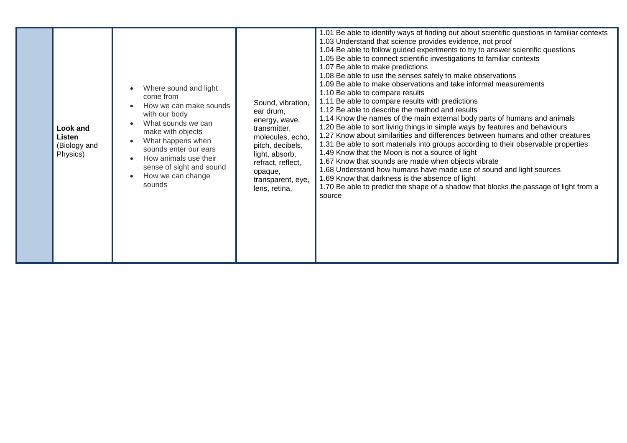|  | Look and<br>Listen<br>(Biology and<br>Physics) | Where sound and light<br>come from<br>How we can make sounds<br>with our body<br>What sounds we can<br>make with objects<br>What happens when<br>sounds enter our ears<br>How animals use their<br>sense of sight and sound<br>How we can change<br>sounds | Sound, vibration,<br>ear drum,<br>energy, wave,<br>transmitter,<br>molecules, echo,<br>pitch, decibels,<br>light, absorb,<br>refract, reflect,<br>opaque,<br>transparent, eye,<br>lens, retina, | 1.01 Be able to identify ways of finding out about scientific questions in familiar contexts<br>1.03 Understand that science provides evidence, not proof<br>1.04 Be able to follow guided experiments to try to answer scientific questions<br>1.05 Be able to connect scientific investigations to familiar contexts<br>1.07 Be able to make predictions<br>1.08 Be able to use the senses safely to make observations<br>1.09 Be able to make observations and take informal measurements<br>1.10 Be able to compare results<br>1.11 Be able to compare results with predictions<br>1.12 Be able to describe the method and results<br>1.14 Know the names of the main external body parts of humans and animals<br>1.20 Be able to sort living things in simple ways by features and behaviours<br>1.27 Know about similarities and differences between humans and other creatures<br>1.31 Be able to sort materials into groups according to their observable properties<br>1.49 Know that the Moon is not a source of light<br>1.67 Know that sounds are made when objects vibrate<br>1.68 Understand how humans have made use of sound and light sources<br>1.69 Know that darkness is the absence of light<br>1.70 Be able to predict the shape of a shadow that blocks the passage of light from a<br>source |
|--|------------------------------------------------|------------------------------------------------------------------------------------------------------------------------------------------------------------------------------------------------------------------------------------------------------------|-------------------------------------------------------------------------------------------------------------------------------------------------------------------------------------------------|-----------------------------------------------------------------------------------------------------------------------------------------------------------------------------------------------------------------------------------------------------------------------------------------------------------------------------------------------------------------------------------------------------------------------------------------------------------------------------------------------------------------------------------------------------------------------------------------------------------------------------------------------------------------------------------------------------------------------------------------------------------------------------------------------------------------------------------------------------------------------------------------------------------------------------------------------------------------------------------------------------------------------------------------------------------------------------------------------------------------------------------------------------------------------------------------------------------------------------------------------------------------------------------------------------------------------|
|--|------------------------------------------------|------------------------------------------------------------------------------------------------------------------------------------------------------------------------------------------------------------------------------------------------------------|-------------------------------------------------------------------------------------------------------------------------------------------------------------------------------------------------|-----------------------------------------------------------------------------------------------------------------------------------------------------------------------------------------------------------------------------------------------------------------------------------------------------------------------------------------------------------------------------------------------------------------------------------------------------------------------------------------------------------------------------------------------------------------------------------------------------------------------------------------------------------------------------------------------------------------------------------------------------------------------------------------------------------------------------------------------------------------------------------------------------------------------------------------------------------------------------------------------------------------------------------------------------------------------------------------------------------------------------------------------------------------------------------------------------------------------------------------------------------------------------------------------------------------------|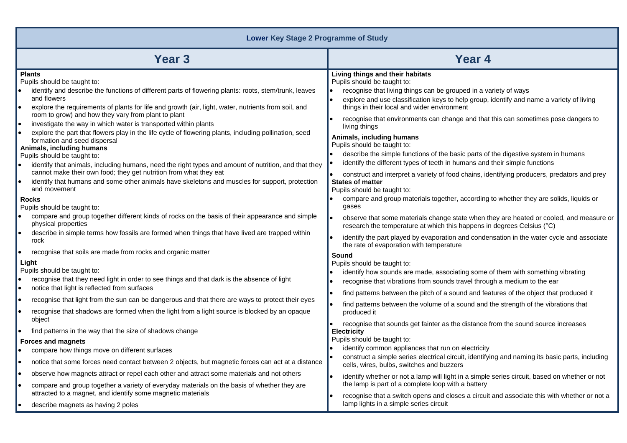| <b>Lower Key Stage 2 Programme of Study</b>                                                                                                                                                                                                                                                                                                                                                                                                                                                                                                                                                                                                                                                                                                                                                                                                                                                                                                                                                                                                                                                                                                                                                                                                                                                                                                                                                                          |                                                                                                                                                                                                                                                                                                                                                                                                                                                                                                                                                                                                                                                                                                                                                                                                                                                                                                                                                                                                                                                                                                                                                                                                                                                                                                                                                                                                                     |  |  |  |
|----------------------------------------------------------------------------------------------------------------------------------------------------------------------------------------------------------------------------------------------------------------------------------------------------------------------------------------------------------------------------------------------------------------------------------------------------------------------------------------------------------------------------------------------------------------------------------------------------------------------------------------------------------------------------------------------------------------------------------------------------------------------------------------------------------------------------------------------------------------------------------------------------------------------------------------------------------------------------------------------------------------------------------------------------------------------------------------------------------------------------------------------------------------------------------------------------------------------------------------------------------------------------------------------------------------------------------------------------------------------------------------------------------------------|---------------------------------------------------------------------------------------------------------------------------------------------------------------------------------------------------------------------------------------------------------------------------------------------------------------------------------------------------------------------------------------------------------------------------------------------------------------------------------------------------------------------------------------------------------------------------------------------------------------------------------------------------------------------------------------------------------------------------------------------------------------------------------------------------------------------------------------------------------------------------------------------------------------------------------------------------------------------------------------------------------------------------------------------------------------------------------------------------------------------------------------------------------------------------------------------------------------------------------------------------------------------------------------------------------------------------------------------------------------------------------------------------------------------|--|--|--|
| <b>Year 3</b>                                                                                                                                                                                                                                                                                                                                                                                                                                                                                                                                                                                                                                                                                                                                                                                                                                                                                                                                                                                                                                                                                                                                                                                                                                                                                                                                                                                                        | Year 4                                                                                                                                                                                                                                                                                                                                                                                                                                                                                                                                                                                                                                                                                                                                                                                                                                                                                                                                                                                                                                                                                                                                                                                                                                                                                                                                                                                                              |  |  |  |
| <b>Plants</b><br>Pupils should be taught to:<br>identify and describe the functions of different parts of flowering plants: roots, stem/trunk, leaves<br>and flowers<br>explore the requirements of plants for life and growth (air, light, water, nutrients from soil, and<br>I۰<br>room to grow) and how they vary from plant to plant<br>investigate the way in which water is transported within plants<br>l.<br>explore the part that flowers play in the life cycle of flowering plants, including pollination, seed<br>formation and seed dispersal<br>Animals, including humans<br>Pupils should be taught to:<br>identify that animals, including humans, need the right types and amount of nutrition, and that they<br>cannot make their own food; they get nutrition from what they eat<br>identify that humans and some other animals have skeletons and muscles for support, protection<br>and movement<br><b>Rocks</b><br>Pupils should be taught to:<br>compare and group together different kinds of rocks on the basis of their appearance and simple<br>physical properties<br>l.<br>describe in simple terms how fossils are formed when things that have lived are trapped within<br>rock<br>recognise that soils are made from rocks and organic matter<br>Light<br>Pupils should be taught to:<br>recognise that they need light in order to see things and that dark is the absence of light | Living things and their habitats<br>Pupils should be taught to:<br>recognise that living things can be grouped in a variety of ways<br>explore and use classification keys to help group, identify and name a variety of living<br>things in their local and wider environment<br>recognise that environments can change and that this can sometimes pose dangers to<br>living things<br>Animals, including humans<br>Pupils should be taught to:<br>describe the simple functions of the basic parts of the digestive system in humans<br>identify the different types of teeth in humans and their simple functions<br>construct and interpret a variety of food chains, identifying producers, predators and prey<br><b>States of matter</b><br>Pupils should be taught to:<br>compare and group materials together, according to whether they are solids, liquids or<br>gases<br>observe that some materials change state when they are heated or cooled, and measure or<br>$\bullet$<br>research the temperature at which this happens in degrees Celsius (°C)<br>identify the part played by evaporation and condensation in the water cycle and associate<br>the rate of evaporation with temperature<br>Sound<br>Pupils should be taught to:<br>identify how sounds are made, associating some of them with something vibrating<br>recognise that vibrations from sounds travel through a medium to the ear |  |  |  |
| notice that light is reflected from surfaces<br>lo<br>I۰<br>recognise that light from the sun can be dangerous and that there are ways to protect their eyes<br>recognise that shadows are formed when the light from a light source is blocked by an opaque<br>object<br>find patterns in the way that the size of shadows change                                                                                                                                                                                                                                                                                                                                                                                                                                                                                                                                                                                                                                                                                                                                                                                                                                                                                                                                                                                                                                                                                   | find patterns between the pitch of a sound and features of the object that produced it<br>find patterns between the volume of a sound and the strength of the vibrations that<br>produced it<br>recognise that sounds get fainter as the distance from the sound source increases<br>$\bullet$<br><b>Electricity</b>                                                                                                                                                                                                                                                                                                                                                                                                                                                                                                                                                                                                                                                                                                                                                                                                                                                                                                                                                                                                                                                                                                |  |  |  |
| <b>Forces and magnets</b><br>compare how things move on different surfaces<br>notice that some forces need contact between 2 objects, but magnetic forces can act at a distance<br>l e i<br>observe how magnets attract or repel each other and attract some materials and not others<br>I۰<br>compare and group together a variety of everyday materials on the basis of whether they are<br>attracted to a magnet, and identify some magnetic materials<br>describe magnets as having 2 poles                                                                                                                                                                                                                                                                                                                                                                                                                                                                                                                                                                                                                                                                                                                                                                                                                                                                                                                      | Pupils should be taught to:<br>identify common appliances that run on electricity<br>construct a simple series electrical circuit, identifying and naming its basic parts, including<br>cells, wires, bulbs, switches and buzzers<br>identify whether or not a lamp will light in a simple series circuit, based on whether or not<br>the lamp is part of a complete loop with a battery<br>recognise that a switch opens and closes a circuit and associate this with whether or not a<br>lamp lights in a simple series circuit                                                                                                                                                                                                                                                                                                                                                                                                                                                                                                                                                                                                                                                                                                                                                                                                                                                                                   |  |  |  |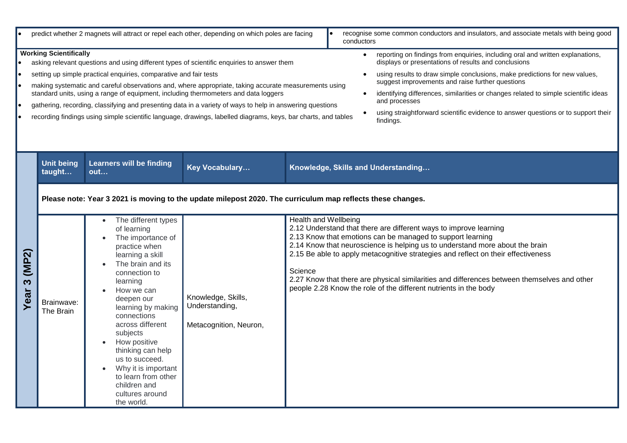|                                        | predict whether 2 magnets will attract or repel each other, depending on which poles are facing                                                                                                                                                                                                                                                                                                                                                                                                                                                                                                                                 |                                                                                                                                                                                                                                                                                                                                                                                                                    |                                                                                                            |                                 | conductors | recognise some common conductors and insulators, and associate metals with being good                                                                                                                                                                                                                                                                                                                                                                                                           |
|----------------------------------------|---------------------------------------------------------------------------------------------------------------------------------------------------------------------------------------------------------------------------------------------------------------------------------------------------------------------------------------------------------------------------------------------------------------------------------------------------------------------------------------------------------------------------------------------------------------------------------------------------------------------------------|--------------------------------------------------------------------------------------------------------------------------------------------------------------------------------------------------------------------------------------------------------------------------------------------------------------------------------------------------------------------------------------------------------------------|------------------------------------------------------------------------------------------------------------|---------------------------------|------------|-------------------------------------------------------------------------------------------------------------------------------------------------------------------------------------------------------------------------------------------------------------------------------------------------------------------------------------------------------------------------------------------------------------------------------------------------------------------------------------------------|
| $\bullet$<br>$\bullet$                 | <b>Working Scientifically</b><br>asking relevant questions and using different types of scientific enquiries to answer them<br>setting up simple practical enquiries, comparative and fair tests<br>making systematic and careful observations and, where appropriate, taking accurate measurements using<br>standard units, using a range of equipment, including thermometers and data loggers<br>gathering, recording, classifying and presenting data in a variety of ways to help in answering questions<br>recording findings using simple scientific language, drawings, labelled diagrams, keys, bar charts, and tables |                                                                                                                                                                                                                                                                                                                                                                                                                    |                                                                                                            |                                 |            | reporting on findings from enquiries, including oral and written explanations,<br>$\bullet$<br>displays or presentations of results and conclusions<br>using results to draw simple conclusions, make predictions for new values,<br>suggest improvements and raise further questions<br>identifying differences, similarities or changes related to simple scientific ideas<br>and processes<br>using straightforward scientific evidence to answer questions or to support their<br>findings. |
|                                        | <b>Unit being</b><br>taught                                                                                                                                                                                                                                                                                                                                                                                                                                                                                                                                                                                                     | <b>Learners will be finding</b><br>out                                                                                                                                                                                                                                                                                                                                                                             | Key Vocabulary                                                                                             |                                 |            | Knowledge, Skills and Understanding                                                                                                                                                                                                                                                                                                                                                                                                                                                             |
|                                        |                                                                                                                                                                                                                                                                                                                                                                                                                                                                                                                                                                                                                                 |                                                                                                                                                                                                                                                                                                                                                                                                                    | Please note: Year 3 2021 is moving to the update milepost 2020. The curriculum map reflects these changes. |                                 |            |                                                                                                                                                                                                                                                                                                                                                                                                                                                                                                 |
| (MP2)<br>$\boldsymbol{\omega}$<br>Year | Brainwave:<br>The Brain                                                                                                                                                                                                                                                                                                                                                                                                                                                                                                                                                                                                         | The different types<br>$\bullet$<br>of learning<br>The importance of<br>practice when<br>learning a skill<br>The brain and its<br>connection to<br>learning<br>How we can<br>deepen our<br>learning by making<br>connections<br>across different<br>subjects<br>How positive<br>thinking can help<br>us to succeed.<br>Why it is important<br>to learn from other<br>children and<br>cultures around<br>the world. | Knowledge, Skills,<br>Understanding,<br>Metacognition, Neuron,                                             | Health and Wellbeing<br>Science |            | 2.12 Understand that there are different ways to improve learning<br>2.13 Know that emotions can be managed to support learning<br>2.14 Know that neuroscience is helping us to understand more about the brain<br>2.15 Be able to apply metacognitive strategies and reflect on their effectiveness<br>2.27 Know that there are physical similarities and differences between themselves and other<br>people 2.28 Know the role of the different nutrients in the body                         |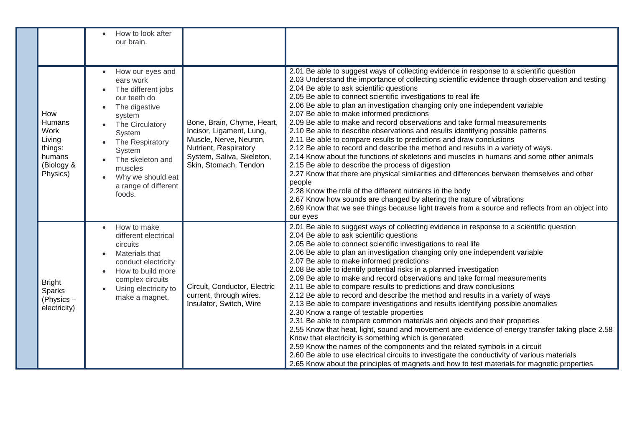|  |                                                                                | How to look after<br>$\bullet$<br>our brain.                                                                                                                                                                                                                             |                                                                                                                                                                 |                                                                                                                                                                                                                                                                                                                                                                                                                                                                                                                                                                                                                                                                                                                                                                                                                                                                                                                                                                                                                                                                                                                                                                                                                                                                                                           |
|--|--------------------------------------------------------------------------------|--------------------------------------------------------------------------------------------------------------------------------------------------------------------------------------------------------------------------------------------------------------------------|-----------------------------------------------------------------------------------------------------------------------------------------------------------------|-----------------------------------------------------------------------------------------------------------------------------------------------------------------------------------------------------------------------------------------------------------------------------------------------------------------------------------------------------------------------------------------------------------------------------------------------------------------------------------------------------------------------------------------------------------------------------------------------------------------------------------------------------------------------------------------------------------------------------------------------------------------------------------------------------------------------------------------------------------------------------------------------------------------------------------------------------------------------------------------------------------------------------------------------------------------------------------------------------------------------------------------------------------------------------------------------------------------------------------------------------------------------------------------------------------|
|  | How<br>Humans<br>Work<br>Living<br>things:<br>humans<br>(Biology &<br>Physics) | How our eyes and<br>$\bullet$<br>ears work<br>The different jobs<br>our teeth do<br>The digestive<br>$\bullet$<br>system<br>The Circulatory<br>System<br>The Respiratory<br>System<br>The skeleton and<br>muscles<br>Why we should eat<br>a range of different<br>foods. | Bone, Brain, Chyme, Heart,<br>Incisor, Ligament, Lung,<br>Muscle, Nerve, Neuron,<br>Nutrient, Respiratory<br>System, Saliva, Skeleton,<br>Skin, Stomach, Tendon | 2.01 Be able to suggest ways of collecting evidence in response to a scientific question<br>2.03 Understand the importance of collecting scientific evidence through observation and testing<br>2.04 Be able to ask scientific questions<br>2.05 Be able to connect scientific investigations to real life<br>2.06 Be able to plan an investigation changing only one independent variable<br>2.07 Be able to make informed predictions<br>2.09 Be able to make and record observations and take formal measurements<br>2.10 Be able to describe observations and results identifying possible patterns<br>2.11 Be able to compare results to predictions and draw conclusions<br>2.12 Be able to record and describe the method and results in a variety of ways.<br>2.14 Know about the functions of skeletons and muscles in humans and some other animals<br>2.15 Be able to describe the process of digestion<br>2.27 Know that there are physical similarities and differences between themselves and other<br>people<br>2.28 Know the role of the different nutrients in the body<br>2.67 Know how sounds are changed by altering the nature of vibrations<br>2.69 Know that we see things because light travels from a source and reflects from an object into<br>our eyes                        |
|  | <b>Bright</b><br><b>Sparks</b><br>(Physics $-$<br>electricity)                 | How to make<br>different electrical<br>circuits<br>Materials that<br>$\bullet$<br>conduct electricity<br>How to build more<br>complex circuits<br>Using electricity to<br>$\bullet$<br>make a magnet.                                                                    | Circuit, Conductor, Electric<br>current, through wires.<br>Insulator, Switch, Wire                                                                              | 2.01 Be able to suggest ways of collecting evidence in response to a scientific question<br>2.04 Be able to ask scientific questions<br>2.05 Be able to connect scientific investigations to real life<br>2.06 Be able to plan an investigation changing only one independent variable<br>2.07 Be able to make informed predictions<br>2.08 Be able to identify potential risks in a planned investigation<br>2.09 Be able to make and record observations and take formal measurements<br>2.11 Be able to compare results to predictions and draw conclusions<br>2.12 Be able to record and describe the method and results in a variety of ways<br>2.13 Be able to compare investigations and results identifying possible anomalies<br>2.30 Know a range of testable properties<br>2.31 Be able to compare common materials and objects and their properties<br>2.55 Know that heat, light, sound and movement are evidence of energy transfer taking place 2.58<br>Know that electricity is something which is generated<br>2.59 Know the names of the components and the related symbols in a circuit<br>2.60 Be able to use electrical circuits to investigate the conductivity of various materials<br>2.65 Know about the principles of magnets and how to test materials for magnetic properties |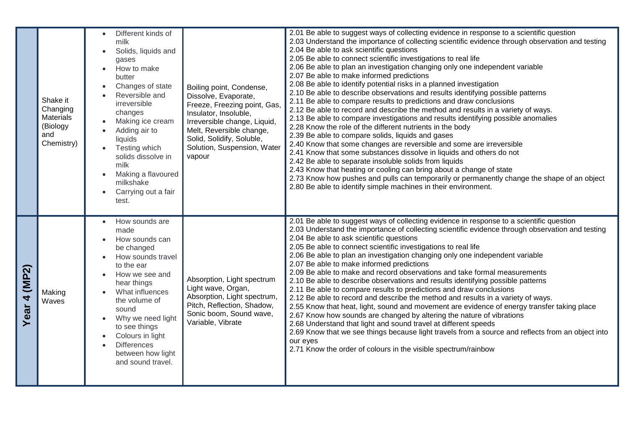|              | Shake it<br>Changing<br><b>Materials</b><br>(Biology<br>and<br>Chemistry) | Different kinds of<br>milk<br>Solids, liquids and<br>gases<br>How to make<br>$\bullet$<br>butter<br>Changes of state<br>Reversible and<br>irreversible<br>changes<br>Making ice cream<br>Adding air to<br>liquids<br>Testing which<br>solids dissolve in<br>milk<br>Making a flavoured<br>milkshake<br>Carrying out a fair<br>test. | Boiling point, Condense,<br>Dissolve, Evaporate,<br>Freeze, Freezing point, Gas,<br>Insulator, Insoluble,<br>Irreversible change, Liquid,<br>Melt, Reversible change,<br>Solid, Solidify, Soluble,<br>Solution, Suspension, Water<br>vapour | 2.01 Be able to suggest ways of collecting evidence in response to a scientific question<br>2.03 Understand the importance of collecting scientific evidence through observation and testing<br>2.04 Be able to ask scientific questions<br>2.05 Be able to connect scientific investigations to real life<br>2.06 Be able to plan an investigation changing only one independent variable<br>2.07 Be able to make informed predictions<br>2.08 Be able to identify potential risks in a planned investigation<br>2.10 Be able to describe observations and results identifying possible patterns<br>2.11 Be able to compare results to predictions and draw conclusions<br>2.12 Be able to record and describe the method and results in a variety of ways.<br>2.13 Be able to compare investigations and results identifying possible anomalies<br>2.28 Know the role of the different nutrients in the body<br>2.39 Be able to compare solids, liquids and gases<br>2.40 Know that some changes are reversible and some are irreversible<br>2.41 Know that some substances dissolve in liquids and others do not<br>2.42 Be able to separate insoluble solids from liquids<br>2.43 Know that heating or cooling can bring about a change of state<br>2.73 Know how pushes and pulls can temporarily or permanently change the shape of an object<br>2.80 Be able to identify simple machines in their environment. |
|--------------|---------------------------------------------------------------------------|-------------------------------------------------------------------------------------------------------------------------------------------------------------------------------------------------------------------------------------------------------------------------------------------------------------------------------------|---------------------------------------------------------------------------------------------------------------------------------------------------------------------------------------------------------------------------------------------|-----------------------------------------------------------------------------------------------------------------------------------------------------------------------------------------------------------------------------------------------------------------------------------------------------------------------------------------------------------------------------------------------------------------------------------------------------------------------------------------------------------------------------------------------------------------------------------------------------------------------------------------------------------------------------------------------------------------------------------------------------------------------------------------------------------------------------------------------------------------------------------------------------------------------------------------------------------------------------------------------------------------------------------------------------------------------------------------------------------------------------------------------------------------------------------------------------------------------------------------------------------------------------------------------------------------------------------------------------------------------------------------------------------------------|
| Year 4 (MP2) | Making<br>Waves                                                           | How sounds are<br>$\bullet$<br>made<br>How sounds can<br>be changed<br>How sounds travel<br>to the ear<br>How we see and<br>hear things<br>What influences<br>the volume of<br>sound<br>Why we need light<br>$\bullet$<br>to see things<br>Colours in light<br><b>Differences</b><br>between how light<br>and sound travel.         | Absorption, Light spectrum<br>Light wave, Organ,<br>Absorption, Light spectrum,<br>Pitch, Reflection, Shadow,<br>Sonic boom, Sound wave,<br>Variable, Vibrate                                                                               | 2.01 Be able to suggest ways of collecting evidence in response to a scientific question<br>2.03 Understand the importance of collecting scientific evidence through observation and testing<br>2.04 Be able to ask scientific questions<br>2.05 Be able to connect scientific investigations to real life<br>2.06 Be able to plan an investigation changing only one independent variable<br>2.07 Be able to make informed predictions<br>2.09 Be able to make and record observations and take formal measurements<br>2.10 Be able to describe observations and results identifying possible patterns<br>2.11 Be able to compare results to predictions and draw conclusions<br>2.12 Be able to record and describe the method and results in a variety of ways.<br>2.55 Know that heat, light, sound and movement are evidence of energy transfer taking place<br>2.67 Know how sounds are changed by altering the nature of vibrations<br>2.68 Understand that light and sound travel at different speeds<br>2.69 Know that we see things because light travels from a source and reflects from an object into<br>our eyes<br>2.71 Know the order of colours in the visible spectrum/rainbow                                                                                                                                                                                                                      |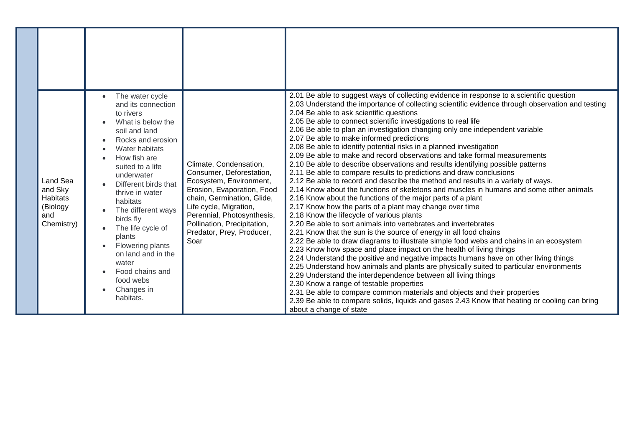| Land Sea<br>and Sky<br>Habitats<br>(Biology<br>and<br>Chemistry) | The water cycle<br>and its connection<br>to rivers<br>What is below the<br>soil and land<br>Rocks and erosion<br>Water habitats<br>How fish are<br>suited to a life<br>underwater<br>Different birds that<br>thrive in water<br>habitats<br>The different ways<br>birds fly<br>The life cycle of<br>plants<br>Flowering plants<br>on land and in the<br>water<br>Food chains and<br>food webs<br>Changes in<br>habitats. | Climate, Condensation,<br>Consumer, Deforestation,<br>Ecosystem, Environment,<br>Erosion, Evaporation, Food<br>chain, Germination, Glide,<br>Life cycle, Migration,<br>Perennial, Photosynthesis,<br>Pollination, Precipitation,<br>Predator, Prey, Producer,<br>Soar | 2.01 Be able to suggest ways of collecting evidence in response to a scientific question<br>2.03 Understand the importance of collecting scientific evidence through observation and testing<br>2.04 Be able to ask scientific questions<br>2.05 Be able to connect scientific investigations to real life<br>2.06 Be able to plan an investigation changing only one independent variable<br>2.07 Be able to make informed predictions<br>2.08 Be able to identify potential risks in a planned investigation<br>2.09 Be able to make and record observations and take formal measurements<br>2.10 Be able to describe observations and results identifying possible patterns<br>2.11 Be able to compare results to predictions and draw conclusions<br>2.12 Be able to record and describe the method and results in a variety of ways.<br>2.14 Know about the functions of skeletons and muscles in humans and some other animals<br>2.16 Know about the functions of the major parts of a plant<br>2.17 Know how the parts of a plant may change over time<br>2.18 Know the lifecycle of various plants<br>2.20 Be able to sort animals into vertebrates and invertebrates<br>2.21 Know that the sun is the source of energy in all food chains<br>2.22 Be able to draw diagrams to illustrate simple food webs and chains in an ecosystem<br>2.23 Know how space and place impact on the health of living things<br>2.24 Understand the positive and negative impacts humans have on other living things<br>2.25 Understand how animals and plants are physically suited to particular environments<br>2.29 Understand the interdependence between all living things<br>2.30 Know a range of testable properties<br>2.31 Be able to compare common materials and objects and their properties<br>2.39 Be able to compare solids, liquids and gases 2.43 Know that heating or cooling can bring<br>about a change of state |
|------------------------------------------------------------------|--------------------------------------------------------------------------------------------------------------------------------------------------------------------------------------------------------------------------------------------------------------------------------------------------------------------------------------------------------------------------------------------------------------------------|-----------------------------------------------------------------------------------------------------------------------------------------------------------------------------------------------------------------------------------------------------------------------|--------------------------------------------------------------------------------------------------------------------------------------------------------------------------------------------------------------------------------------------------------------------------------------------------------------------------------------------------------------------------------------------------------------------------------------------------------------------------------------------------------------------------------------------------------------------------------------------------------------------------------------------------------------------------------------------------------------------------------------------------------------------------------------------------------------------------------------------------------------------------------------------------------------------------------------------------------------------------------------------------------------------------------------------------------------------------------------------------------------------------------------------------------------------------------------------------------------------------------------------------------------------------------------------------------------------------------------------------------------------------------------------------------------------------------------------------------------------------------------------------------------------------------------------------------------------------------------------------------------------------------------------------------------------------------------------------------------------------------------------------------------------------------------------------------------------------------------------------------------------------------------------------------------------------------|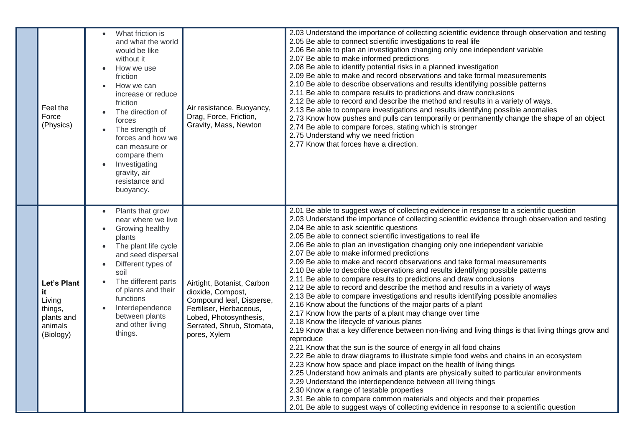| Feel the<br>Force<br>(Physics)                                                       | What friction is<br>and what the world<br>would be like<br>without it<br>How we use<br>friction<br>How we can<br>increase or reduce<br>friction<br>The direction of<br>forces<br>The strength of<br>$\bullet$<br>forces and how we<br>can measure or<br>compare them<br>Investigating<br>$\bullet$<br>gravity, air<br>resistance and<br>buoyancy. | Air resistance, Buoyancy,<br>Drag, Force, Friction,<br>Gravity, Mass, Newton                                                                                                  | 2.03 Understand the importance of collecting scientific evidence through observation and testing<br>2.05 Be able to connect scientific investigations to real life<br>2.06 Be able to plan an investigation changing only one independent variable<br>2.07 Be able to make informed predictions<br>2.08 Be able to identify potential risks in a planned investigation<br>2.09 Be able to make and record observations and take formal measurements<br>2.10 Be able to describe observations and results identifying possible patterns<br>2.11 Be able to compare results to predictions and draw conclusions<br>2.12 Be able to record and describe the method and results in a variety of ways.<br>2.13 Be able to compare investigations and results identifying possible anomalies<br>2.73 Know how pushes and pulls can temporarily or permanently change the shape of an object<br>2.74 Be able to compare forces, stating which is stronger<br>2.75 Understand why we need friction<br>2.77 Know that forces have a direction.                                                                                                                                                                                                                                                                                                                                                                                                                                                                                                                                                                                                                                                                                                                                     |
|--------------------------------------------------------------------------------------|---------------------------------------------------------------------------------------------------------------------------------------------------------------------------------------------------------------------------------------------------------------------------------------------------------------------------------------------------|-------------------------------------------------------------------------------------------------------------------------------------------------------------------------------|---------------------------------------------------------------------------------------------------------------------------------------------------------------------------------------------------------------------------------------------------------------------------------------------------------------------------------------------------------------------------------------------------------------------------------------------------------------------------------------------------------------------------------------------------------------------------------------------------------------------------------------------------------------------------------------------------------------------------------------------------------------------------------------------------------------------------------------------------------------------------------------------------------------------------------------------------------------------------------------------------------------------------------------------------------------------------------------------------------------------------------------------------------------------------------------------------------------------------------------------------------------------------------------------------------------------------------------------------------------------------------------------------------------------------------------------------------------------------------------------------------------------------------------------------------------------------------------------------------------------------------------------------------------------------------------------------------------------------------------------------------------------------|
| <b>Let's Plant</b><br>it.<br>Living<br>things,<br>plants and<br>animals<br>(Biology) | Plants that grow<br>near where we live<br>Growing healthy<br>$\bullet$<br>plants<br>The plant life cycle<br>$\bullet$<br>and seed dispersal<br>Different types of<br>$\bullet$<br>soil<br>The different parts<br>of plants and their<br>functions<br>Interdependence<br>between plants<br>and other living<br>things.                             | Airtight, Botanist, Carbon<br>dioxide, Compost,<br>Compound leaf, Disperse,<br>Fertiliser, Herbaceous,<br>Lobed, Photosynthesis,<br>Serrated, Shrub, Stomata,<br>pores, Xylem | 2.01 Be able to suggest ways of collecting evidence in response to a scientific question<br>2.03 Understand the importance of collecting scientific evidence through observation and testing<br>2.04 Be able to ask scientific questions<br>2.05 Be able to connect scientific investigations to real life<br>2.06 Be able to plan an investigation changing only one independent variable<br>2.07 Be able to make informed predictions<br>2.09 Be able to make and record observations and take formal measurements<br>2.10 Be able to describe observations and results identifying possible patterns<br>2.11 Be able to compare results to predictions and draw conclusions<br>2.12 Be able to record and describe the method and results in a variety of ways<br>2.13 Be able to compare investigations and results identifying possible anomalies<br>2.16 Know about the functions of the major parts of a plant<br>2.17 Know how the parts of a plant may change over time<br>2.18 Know the lifecycle of various plants<br>2.19 Know that a key difference between non-living and living things is that living things grow and<br>reproduce<br>2.21 Know that the sun is the source of energy in all food chains<br>2.22 Be able to draw diagrams to illustrate simple food webs and chains in an ecosystem<br>2.23 Know how space and place impact on the health of living things<br>2.25 Understand how animals and plants are physically suited to particular environments<br>2.29 Understand the interdependence between all living things<br>2.30 Know a range of testable properties<br>2.31 Be able to compare common materials and objects and their properties<br>2.01 Be able to suggest ways of collecting evidence in response to a scientific question |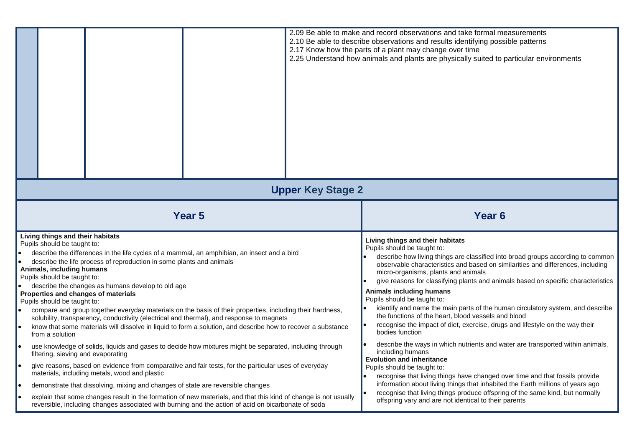|                 |                                                                                                                                                                                                                                                                                                                                                                                                                                                                     | 2.09 Be able to make and record observations and take formal measurements<br>2.10 Be able to describe observations and results identifying possible patterns<br>2.17 Know how the parts of a plant may change over time<br>2.25 Understand how animals and plants are physically suited to particular environments                                                                              |
|-----------------|---------------------------------------------------------------------------------------------------------------------------------------------------------------------------------------------------------------------------------------------------------------------------------------------------------------------------------------------------------------------------------------------------------------------------------------------------------------------|-------------------------------------------------------------------------------------------------------------------------------------------------------------------------------------------------------------------------------------------------------------------------------------------------------------------------------------------------------------------------------------------------|
|                 | <b>Upper Key Stage 2</b>                                                                                                                                                                                                                                                                                                                                                                                                                                            |                                                                                                                                                                                                                                                                                                                                                                                                 |
|                 | <b>Year 5</b>                                                                                                                                                                                                                                                                                                                                                                                                                                                       | Year <sub>6</sub>                                                                                                                                                                                                                                                                                                                                                                               |
|                 | Living things and their habitats<br>Pupils should be taught to:<br>describe the differences in the life cycles of a mammal, an amphibian, an insect and a bird<br>describe the life process of reproduction in some plants and animals<br>Animals, including humans<br>Pupils should be taught to:                                                                                                                                                                  | Living things and their habitats<br>Pupils should be taught to:<br>describe how living things are classified into broad groups according to common<br>observable characteristics and based on similarities and differences, including<br>micro-organisms, plants and animals                                                                                                                    |
| $\bullet$<br>le | describe the changes as humans develop to old age<br>Properties and changes of materials<br>Pupils should be taught to:<br>compare and group together everyday materials on the basis of their properties, including their hardness,<br>solubility, transparency, conductivity (electrical and thermal), and response to magnets<br>know that some materials will dissolve in liquid to form a solution, and describe how to recover a substance<br>from a solution | give reasons for classifying plants and animals based on specific characteristics<br><b>Animals including humans</b><br>Pupils should be taught to:<br>identify and name the main parts of the human circulatory system, and describe<br>the functions of the heart, blood vessels and blood<br>recognise the impact of diet, exercise, drugs and lifestyle on the way their<br>bodies function |
| l e<br>l e      | use knowledge of solids, liquids and gases to decide how mixtures might be separated, including through<br>filtering, sieving and evaporating<br>give reasons, based on evidence from comparative and fair tests, for the particular uses of everyday<br>materials, including metals, wood and plastic                                                                                                                                                              | describe the ways in which nutrients and water are transported within animals,<br>including humans<br><b>Evolution and inheritance</b><br>Pupils should be taught to:<br>recognise that living things have changed over time and that fossils provide                                                                                                                                           |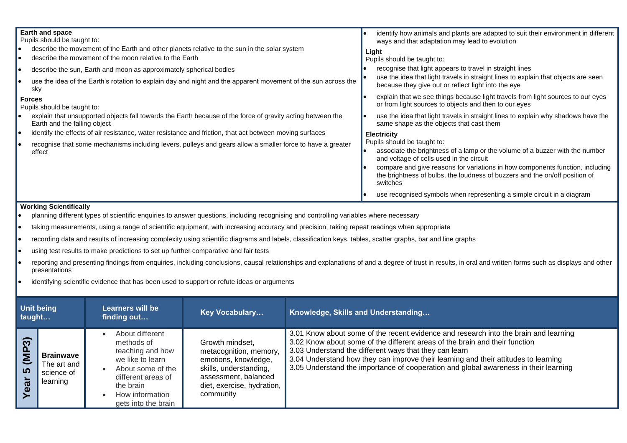|     | Earth and space<br>Pupils should be taught to:<br>describe the movement of the Earth and other planets relative to the sun in the solar system<br>describe the movement of the moon relative to the Earth | identify how animals and plants are adapted to suit their environment in different<br>ways and that adaptation may lead to evolution<br>Light<br>Pupils should be taught to:                                                                                                                                            |
|-----|-----------------------------------------------------------------------------------------------------------------------------------------------------------------------------------------------------------|-------------------------------------------------------------------------------------------------------------------------------------------------------------------------------------------------------------------------------------------------------------------------------------------------------------------------|
| I۰  | describe the sun, Earth and moon as approximately spherical bodies                                                                                                                                        | recognise that light appears to travel in straight lines                                                                                                                                                                                                                                                                |
|     | use the idea of the Earth's rotation to explain day and night and the apparent movement of the sun across the<br>sky                                                                                      | use the idea that light travels in straight lines to explain that objects are seen<br>because they give out or reflect light into the eye                                                                                                                                                                               |
|     | <b>Forces</b><br>Pupils should be taught to:                                                                                                                                                              | explain that we see things because light travels from light sources to our eyes<br>or from light sources to objects and then to our eyes                                                                                                                                                                                |
|     | explain that unsupported objects fall towards the Earth because of the force of gravity acting between the<br>Earth and the falling object                                                                | use the idea that light travels in straight lines to explain why shadows have the<br>same shape as the objects that cast them                                                                                                                                                                                           |
| l e | identify the effects of air resistance, water resistance and friction, that act between moving surfaces                                                                                                   | <b>Electricity</b>                                                                                                                                                                                                                                                                                                      |
|     | recognise that some mechanisms including levers, pulleys and gears allow a smaller force to have a greater<br>effect                                                                                      | Pupils should be taught to:<br>associate the brightness of a lamp or the volume of a buzzer with the number<br>and voltage of cells used in the circuit<br>compare and give reasons for variations in how components function, including<br>the brightness of bulbs, the loudness of buzzers and the on/off position of |
|     |                                                                                                                                                                                                           | switches<br>use recognised symbols when representing a simple circuit in a diagram                                                                                                                                                                                                                                      |

## **Working Scientifically**

• planning different types of scientific enquiries to answer questions, including recognising and controlling variables where necessary

• taking measurements, using a range of scientific equipment, with increasing accuracy and precision, taking repeat readings when appropriate

• recording data and results of increasing complexity using scientific diagrams and labels, classification keys, tables, scatter graphs, bar and line graphs

- using test results to make predictions to set up further comparative and fair tests
- reporting and presenting findings from enquiries, including conclusions, causal relationships and explanations of and a degree of trust in results, in oral and written forms such as displays and other presentations
- identifying scientific evidence that has been used to support or refute ideas or arguments

| taught                                        | <b>Unit being</b>                                         | Learners will be<br>finding out                                                                                                                                         | <b>Key Vocabulary</b>                                                                                                                                          | Knowledge, Skills and Understanding                                                                                                                                                                                                                                                                                                                                                                          |
|-----------------------------------------------|-----------------------------------------------------------|-------------------------------------------------------------------------------------------------------------------------------------------------------------------------|----------------------------------------------------------------------------------------------------------------------------------------------------------------|--------------------------------------------------------------------------------------------------------------------------------------------------------------------------------------------------------------------------------------------------------------------------------------------------------------------------------------------------------------------------------------------------------------|
| P3)<br>$\bar{\mathbf{g}}$<br><b>LO</b><br>ear | <b>Brainwave</b><br>The art and<br>science of<br>learning | About different<br>methods of<br>teaching and how<br>we like to learn<br>About some of the<br>different areas of<br>the brain<br>How information<br>gets into the brain | Growth mindset,<br>metacognition, memory,<br>emotions, knowledge,<br>skills, understanding,<br>assessment, balanced<br>diet, exercise, hydration,<br>community | 3.01 Know about some of the recent evidence and research into the brain and learning<br>3.02 Know about some of the different areas of the brain and their function<br>3.03 Understand the different ways that they can learn<br>3.04 Understand how they can improve their learning and their attitudes to learning<br>3.05 Understand the importance of cooperation and global awareness in their learning |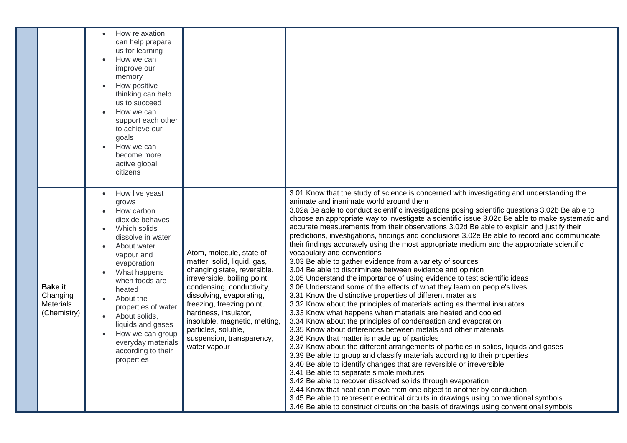|                                                               | How relaxation<br>$\bullet$<br>can help prepare<br>us for learning<br>How we can<br>improve our<br>memory<br>How positive<br>$\bullet$<br>thinking can help<br>us to succeed<br>How we can<br>support each other<br>to achieve our<br>goals<br>How we can<br>$\bullet$<br>become more<br>active global<br>citizens                                                                                |                                                                                                                                                                                                                                                                                                                                           |                                                                                                                                                                                                                                                                                                                                                                                                                                                                                                                                                                                                                                                                                                                                                                                                                                                                                                                                                                                                                                                                                                                                                                                                                                                                                                                                                                                                                                                                                                                                                                                                                                                                                                                                                                                                                                                                                                                                                                             |
|---------------------------------------------------------------|---------------------------------------------------------------------------------------------------------------------------------------------------------------------------------------------------------------------------------------------------------------------------------------------------------------------------------------------------------------------------------------------------|-------------------------------------------------------------------------------------------------------------------------------------------------------------------------------------------------------------------------------------------------------------------------------------------------------------------------------------------|-----------------------------------------------------------------------------------------------------------------------------------------------------------------------------------------------------------------------------------------------------------------------------------------------------------------------------------------------------------------------------------------------------------------------------------------------------------------------------------------------------------------------------------------------------------------------------------------------------------------------------------------------------------------------------------------------------------------------------------------------------------------------------------------------------------------------------------------------------------------------------------------------------------------------------------------------------------------------------------------------------------------------------------------------------------------------------------------------------------------------------------------------------------------------------------------------------------------------------------------------------------------------------------------------------------------------------------------------------------------------------------------------------------------------------------------------------------------------------------------------------------------------------------------------------------------------------------------------------------------------------------------------------------------------------------------------------------------------------------------------------------------------------------------------------------------------------------------------------------------------------------------------------------------------------------------------------------------------------|
| <b>Bake it</b><br>Changing<br><b>Materials</b><br>(Chemistry) | How live yeast<br>$\bullet$<br>grows<br>How carbon<br>dioxide behaves<br>Which solids<br>dissolve in water<br>About water<br>$\bullet$<br>vapour and<br>evaporation<br>What happens<br>when foods are<br>heated<br>About the<br>properties of water<br>About solids,<br>$\bullet$<br>liquids and gases<br>How we can group<br>$\bullet$<br>everyday materials<br>according to their<br>properties | Atom, molecule, state of<br>matter, solid, liquid, gas,<br>changing state, reversible,<br>irreversible, boiling point,<br>condensing, conductivity,<br>dissolving, evaporating,<br>freezing, freezing point,<br>hardness, insulator,<br>insoluble, magnetic, melting,<br>particles, soluble,<br>suspension, transparency,<br>water vapour | 3.01 Know that the study of science is concerned with investigating and understanding the<br>animate and inanimate world around them<br>3.02a Be able to conduct scientific investigations posing scientific questions 3.02b Be able to<br>choose an appropriate way to investigate a scientific issue 3.02c Be able to make systematic and<br>accurate measurements from their observations 3.02d Be able to explain and justify their<br>predictions, investigations, findings and conclusions 3.02e Be able to record and communicate<br>their findings accurately using the most appropriate medium and the appropriate scientific<br>vocabulary and conventions<br>3.03 Be able to gather evidence from a variety of sources<br>3.04 Be able to discriminate between evidence and opinion<br>3.05 Understand the importance of using evidence to test scientific ideas<br>3.06 Understand some of the effects of what they learn on people's lives<br>3.31 Know the distinctive properties of different materials<br>3.32 Know about the principles of materials acting as thermal insulators<br>3.33 Know what happens when materials are heated and cooled<br>3.34 Know about the principles of condensation and evaporation<br>3.35 Know about differences between metals and other materials<br>3.36 Know that matter is made up of particles<br>3.37 Know about the different arrangements of particles in solids, liquids and gases<br>3.39 Be able to group and classify materials according to their properties<br>3.40 Be able to identify changes that are reversible or irreversible<br>3.41 Be able to separate simple mixtures<br>3.42 Be able to recover dissolved solids through evaporation<br>3.44 Know that heat can move from one object to another by conduction<br>3.45 Be able to represent electrical circuits in drawings using conventional symbols<br>3.46 Be able to construct circuits on the basis of drawings using conventional symbols |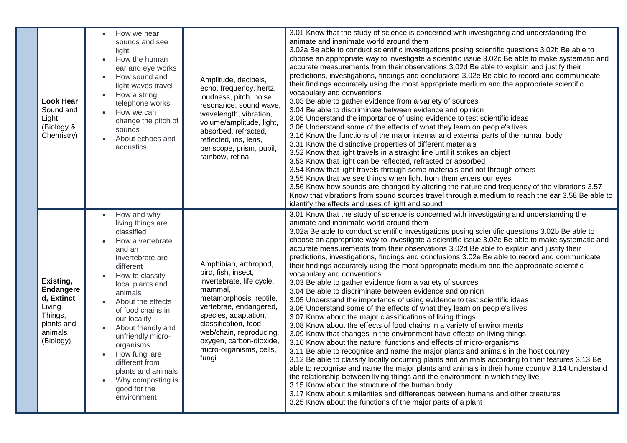| <b>Look Hear</b><br>Sound and<br>Light<br>(Biology &<br>Chemistry)                                     | How we hear<br>sounds and see<br>light<br>How the human<br>$\bullet$<br>ear and eye works<br>How sound and<br>light waves travel<br>How a string<br>telephone works<br>How we can<br>$\bullet$<br>change the pitch of<br>sounds<br>About echoes and<br>$\bullet$<br>acoustics                                                                                                                                                         | Amplitude, decibels,<br>echo, frequency, hertz,<br>loudness, pitch, noise,<br>resonance, sound wave,<br>wavelength, vibration,<br>volume/amplitude, light,<br>absorbed, refracted,<br>reflected, iris, lens,<br>periscope, prism, pupil,<br>rainbow, retina                         | 3.01 Know that the study of science is concerned with investigating and understanding the<br>animate and inanimate world around them<br>3.02a Be able to conduct scientific investigations posing scientific questions 3.02b Be able to<br>choose an appropriate way to investigate a scientific issue 3.02c Be able to make systematic and<br>accurate measurements from their observations 3.02d Be able to explain and justify their<br>predictions, investigations, findings and conclusions 3.02e Be able to record and communicate<br>their findings accurately using the most appropriate medium and the appropriate scientific<br>vocabulary and conventions<br>3.03 Be able to gather evidence from a variety of sources<br>3.04 Be able to discriminate between evidence and opinion<br>3.05 Understand the importance of using evidence to test scientific ideas<br>3.06 Understand some of the effects of what they learn on people's lives<br>3.16 Know the functions of the major internal and external parts of the human body<br>3.31 Know the distinctive properties of different materials<br>3.52 Know that light travels in a straight line until it strikes an object<br>3.53 Know that light can be reflected, refracted or absorbed<br>3.54 Know that light travels through some materials and not through others<br>3.55 Know that we see things when light from them enters our eyes<br>3.56 Know how sounds are changed by altering the nature and frequency of the vibrations 3.57<br>Know that vibrations from sound sources travel through a medium to reach the ear 3.58 Be able to<br>identify the effects and uses of light and sound                                                                                                                                                                  |
|--------------------------------------------------------------------------------------------------------|---------------------------------------------------------------------------------------------------------------------------------------------------------------------------------------------------------------------------------------------------------------------------------------------------------------------------------------------------------------------------------------------------------------------------------------|-------------------------------------------------------------------------------------------------------------------------------------------------------------------------------------------------------------------------------------------------------------------------------------|----------------------------------------------------------------------------------------------------------------------------------------------------------------------------------------------------------------------------------------------------------------------------------------------------------------------------------------------------------------------------------------------------------------------------------------------------------------------------------------------------------------------------------------------------------------------------------------------------------------------------------------------------------------------------------------------------------------------------------------------------------------------------------------------------------------------------------------------------------------------------------------------------------------------------------------------------------------------------------------------------------------------------------------------------------------------------------------------------------------------------------------------------------------------------------------------------------------------------------------------------------------------------------------------------------------------------------------------------------------------------------------------------------------------------------------------------------------------------------------------------------------------------------------------------------------------------------------------------------------------------------------------------------------------------------------------------------------------------------------------------------------------------------------------------------------------------------------|
| Existing,<br><b>Endangere</b><br>d, Extinct<br>Living<br>Things,<br>plants and<br>animals<br>(Biology) | How and why<br>$\bullet$<br>living things are<br>classified<br>How a vertebrate<br>$\bullet$<br>and an<br>invertebrate are<br>different<br>How to classify<br>local plants and<br>animals<br>About the effects<br>of food chains in<br>our locality<br>About friendly and<br>unfriendly micro-<br>organisms<br>How fungi are<br>$\bullet$<br>different from<br>plants and animals<br>Why composting is<br>good for the<br>environment | Amphibian, arthropod,<br>bird, fish, insect,<br>invertebrate, life cycle,<br>mammal,<br>metamorphosis, reptile,<br>vertebrae, endangered,<br>species, adaptation,<br>classification, food<br>web/chain, reproducing,<br>oxygen, carbon-dioxide,<br>micro-organisms, cells,<br>fungi | 3.01 Know that the study of science is concerned with investigating and understanding the<br>animate and inanimate world around them<br>3.02a Be able to conduct scientific investigations posing scientific questions 3.02b Be able to<br>choose an appropriate way to investigate a scientific issue 3.02c Be able to make systematic and<br>accurate measurements from their observations 3.02d Be able to explain and justify their<br>predictions, investigations, findings and conclusions 3.02e Be able to record and communicate<br>their findings accurately using the most appropriate medium and the appropriate scientific<br>vocabulary and conventions<br>3.03 Be able to gather evidence from a variety of sources<br>3.04 Be able to discriminate between evidence and opinion<br>3.05 Understand the importance of using evidence to test scientific ideas<br>3.06 Understand some of the effects of what they learn on people's lives<br>3.07 Know about the major classifications of living things<br>3.08 Know about the effects of food chains in a variety of environments<br>3.09 Know that changes in the environment have effects on living things<br>3.10 Know about the nature, functions and effects of micro-organisms<br>3.11 Be able to recognise and name the major plants and animals in the host country<br>3.12 Be able to classify locally occurring plants and animals according to their features 3.13 Be<br>able to recognise and name the major plants and animals in their home country 3.14 Understand<br>the relationship between living things and the environment in which they live<br>3.15 Know about the structure of the human body<br>3.17 Know about similarities and differences between humans and other creatures<br>3.25 Know about the functions of the major parts of a plant |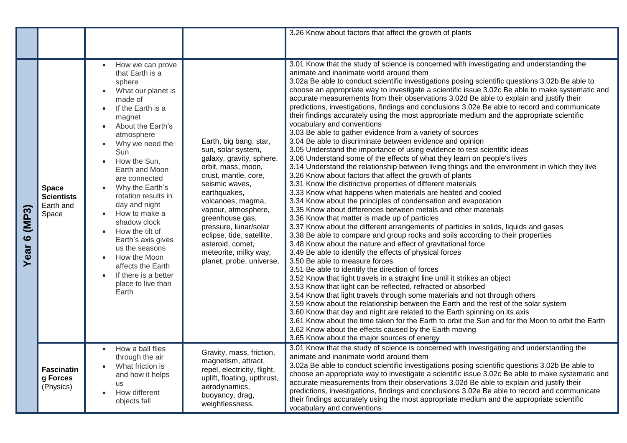|                            |                                                         |                                                                                                                                                                                                                                                                                                                                                                                                                                                                                                            |                                                                                                                                                                                                                                                                                                                                                        | 3.26 Know about factors that affect the growth of plants                                                                                                                                                                                                                                                                                                                                                                                                                                                                                                                                                                                                                                                                                                                                                                                                                                                                                                                                                                                                                                                                                                                                                                                                                                                                                                                                                                                                                                                                                                                                                                                                                                                                                                                                                                                                                                                                                                                                                                                                                                                                                                                                                                                                                                                                                                                                                                                           |
|----------------------------|---------------------------------------------------------|------------------------------------------------------------------------------------------------------------------------------------------------------------------------------------------------------------------------------------------------------------------------------------------------------------------------------------------------------------------------------------------------------------------------------------------------------------------------------------------------------------|--------------------------------------------------------------------------------------------------------------------------------------------------------------------------------------------------------------------------------------------------------------------------------------------------------------------------------------------------------|----------------------------------------------------------------------------------------------------------------------------------------------------------------------------------------------------------------------------------------------------------------------------------------------------------------------------------------------------------------------------------------------------------------------------------------------------------------------------------------------------------------------------------------------------------------------------------------------------------------------------------------------------------------------------------------------------------------------------------------------------------------------------------------------------------------------------------------------------------------------------------------------------------------------------------------------------------------------------------------------------------------------------------------------------------------------------------------------------------------------------------------------------------------------------------------------------------------------------------------------------------------------------------------------------------------------------------------------------------------------------------------------------------------------------------------------------------------------------------------------------------------------------------------------------------------------------------------------------------------------------------------------------------------------------------------------------------------------------------------------------------------------------------------------------------------------------------------------------------------------------------------------------------------------------------------------------------------------------------------------------------------------------------------------------------------------------------------------------------------------------------------------------------------------------------------------------------------------------------------------------------------------------------------------------------------------------------------------------------------------------------------------------------------------------------------------------|
| (MP3)<br>$\bullet$<br>Year | <b>Space</b><br><b>Scientists</b><br>Earth and<br>Space | How we can prove<br>that Earth is a<br>sphere<br>What our planet is<br>made of<br>If the Earth is a<br>magnet<br>About the Earth's<br>atmosphere<br>Why we need the<br>$\bullet$<br>Sun<br>How the Sun,<br>Earth and Moon<br>are connected<br>Why the Earth's<br>rotation results in<br>day and night<br>How to make a<br>shadow clock<br>How the tilt of<br>$\bullet$<br>Earth's axis gives<br>us the seasons<br>How the Moon<br>affects the Earth<br>If there is a better<br>place to live than<br>Earth | Earth, big bang, star,<br>sun, solar system,<br>galaxy, gravity, sphere,<br>orbit, mass, moon,<br>crust, mantle, core,<br>seismic waves,<br>earthquakes,<br>volcanoes, magma,<br>vapour, atmosphere,<br>greenhouse gas,<br>pressure, lunar/solar<br>eclipse, tide, satellite,<br>asteroid, comet,<br>meteorite, milky way,<br>planet, probe, universe, | 3.01 Know that the study of science is concerned with investigating and understanding the<br>animate and inanimate world around them<br>3.02a Be able to conduct scientific investigations posing scientific questions 3.02b Be able to<br>choose an appropriate way to investigate a scientific issue 3.02c Be able to make systematic and<br>accurate measurements from their observations 3.02d Be able to explain and justify their<br>predictions, investigations, findings and conclusions 3.02e Be able to record and communicate<br>their findings accurately using the most appropriate medium and the appropriate scientific<br>vocabulary and conventions<br>3.03 Be able to gather evidence from a variety of sources<br>3.04 Be able to discriminate between evidence and opinion<br>3.05 Understand the importance of using evidence to test scientific ideas<br>3.06 Understand some of the effects of what they learn on people's lives<br>3.14 Understand the relationship between living things and the environment in which they live<br>3.26 Know about factors that affect the growth of plants<br>3.31 Know the distinctive properties of different materials<br>3.33 Know what happens when materials are heated and cooled<br>3.34 Know about the principles of condensation and evaporation<br>3.35 Know about differences between metals and other materials<br>3.36 Know that matter is made up of particles<br>3.37 Know about the different arrangements of particles in solids, liquids and gases<br>3.38 Be able to compare and group rocks and soils according to their properties<br>3.48 Know about the nature and effect of gravitational force<br>3.49 Be able to identify the effects of physical forces<br>3.50 Be able to measure forces<br>3.51 Be able to identify the direction of forces<br>3.52 Know that light travels in a straight line until it strikes an object<br>3.53 Know that light can be reflected, refracted or absorbed<br>3.54 Know that light travels through some materials and not through others<br>3.59 Know about the relationship between the Earth and the rest of the solar system<br>3.60 Know that day and night are related to the Earth spinning on its axis<br>3.61 Know about the time taken for the Earth to orbit the Sun and for the Moon to orbit the Earth<br>3.62 Know about the effects caused by the Earth moving<br>3.65 Know about the major sources of energy |
|                            | <b>Fascinatin</b><br>g Forces<br>(Physics)              | How a ball flies<br>through the air<br>What friction is<br>and how it helps<br><b>us</b><br>How different<br>objects fall                                                                                                                                                                                                                                                                                                                                                                                  | Gravity, mass, friction,<br>magnetism, attract,<br>repel, electricity, flight,<br>uplift, floating, upthrust,<br>aerodynamics,<br>buoyancy, drag,<br>weightlessness,                                                                                                                                                                                   | 3.01 Know that the study of science is concerned with investigating and understanding the<br>animate and inanimate world around them<br>3.02a Be able to conduct scientific investigations posing scientific questions 3.02b Be able to<br>choose an appropriate way to investigate a scientific issue 3.02c Be able to make systematic and<br>accurate measurements from their observations 3.02d Be able to explain and justify their<br>predictions, investigations, findings and conclusions 3.02e Be able to record and communicate<br>their findings accurately using the most appropriate medium and the appropriate scientific<br>vocabulary and conventions                                                                                                                                                                                                                                                                                                                                                                                                                                                                                                                                                                                                                                                                                                                                                                                                                                                                                                                                                                                                                                                                                                                                                                                                                                                                                                                                                                                                                                                                                                                                                                                                                                                                                                                                                                               |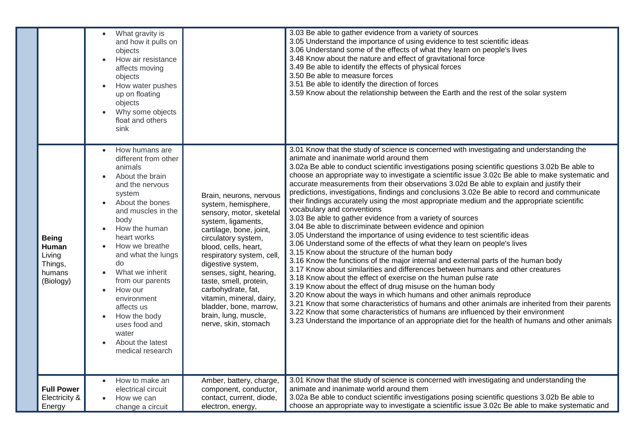|  |                                                                   | What gravity is<br>and how it pulls on<br>objects<br>How air resistance<br>affects moving<br>objects<br>How water pushes<br>up on floating<br>objects<br>Why some objects<br>float and others<br>sink                                                                                                                                                                                                          |                                                                                                                                                                                                                                                                                                                                                                                                               | 3.03 Be able to gather evidence from a variety of sources<br>3.05 Understand the importance of using evidence to test scientific ideas<br>3.06 Understand some of the effects of what they learn on people's lives<br>3.48 Know about the nature and effect of gravitational force<br>3.49 Be able to identify the effects of physical forces<br>3.50 Be able to measure forces<br>3.51 Be able to identify the direction of forces<br>3.59 Know about the relationship between the Earth and the rest of the solar system                                                                                                                                                                                                                                                                                                                                                                                                                                                                                                                                                                                                                                                                                                                                                                                                                                                                                                                                                                                                                                                                                                                                                                |
|--|-------------------------------------------------------------------|----------------------------------------------------------------------------------------------------------------------------------------------------------------------------------------------------------------------------------------------------------------------------------------------------------------------------------------------------------------------------------------------------------------|---------------------------------------------------------------------------------------------------------------------------------------------------------------------------------------------------------------------------------------------------------------------------------------------------------------------------------------------------------------------------------------------------------------|-------------------------------------------------------------------------------------------------------------------------------------------------------------------------------------------------------------------------------------------------------------------------------------------------------------------------------------------------------------------------------------------------------------------------------------------------------------------------------------------------------------------------------------------------------------------------------------------------------------------------------------------------------------------------------------------------------------------------------------------------------------------------------------------------------------------------------------------------------------------------------------------------------------------------------------------------------------------------------------------------------------------------------------------------------------------------------------------------------------------------------------------------------------------------------------------------------------------------------------------------------------------------------------------------------------------------------------------------------------------------------------------------------------------------------------------------------------------------------------------------------------------------------------------------------------------------------------------------------------------------------------------------------------------------------------------|
|  | <b>Being</b><br>Human<br>Living<br>Things,<br>humans<br>(Biology) | How humans are<br>different from other<br>animals<br>About the brain<br>and the nervous<br>system<br>About the bones<br>and muscles in the<br>body<br>How the human<br>heart works<br>How we breathe<br>and what the lungs<br>do<br>What we inherit<br>from our parents<br>How our<br>$\bullet$<br>environment<br>affects us<br>How the body<br>uses food and<br>water<br>About the latest<br>medical research | Brain, neurons, nervous<br>system, hemisphere,<br>sensory, motor, sketelal<br>system, ligaments,<br>cartilage, bone, joint,<br>circulatory system,<br>blood, cells, heart,<br>respiratory system, cell,<br>digestive system,<br>senses, sight, hearing,<br>taste, smell, protein,<br>carbohydrate, fat,<br>vitamin, mineral, dairy,<br>bladder, bone, marrow,<br>brain, lung, muscle,<br>nerve, skin, stomach | 3.01 Know that the study of science is concerned with investigating and understanding the<br>animate and inanimate world around them<br>3.02a Be able to conduct scientific investigations posing scientific questions 3.02b Be able to<br>choose an appropriate way to investigate a scientific issue 3.02c Be able to make systematic and<br>accurate measurements from their observations 3.02d Be able to explain and justify their<br>predictions, investigations, findings and conclusions 3.02e Be able to record and communicate<br>their findings accurately using the most appropriate medium and the appropriate scientific<br>vocabulary and conventions<br>3.03 Be able to gather evidence from a variety of sources<br>3.04 Be able to discriminate between evidence and opinion<br>3.05 Understand the importance of using evidence to test scientific ideas<br>3.06 Understand some of the effects of what they learn on people's lives<br>3.15 Know about the structure of the human body<br>3.16 Know the functions of the major internal and external parts of the human body<br>3.17 Know about similarities and differences between humans and other creatures<br>3.18 Know about the effect of exercise on the human pulse rate<br>3.19 Know about the effect of drug misuse on the human body<br>3.20 Know about the ways in which humans and other animals reproduce<br>3.21 Know that some characteristics of humans and other animals are inherited from their parents<br>3.22 Know that some characteristics of humans are influenced by their environment<br>3.23 Understand the importance of an appropriate diet for the health of humans and other animals |
|  | <b>Full Power</b><br>Electricity &<br>Energy                      | How to make an<br>electrical circuit<br>How we can<br>change a circuit                                                                                                                                                                                                                                                                                                                                         | Amber, battery, charge,<br>component, conductor,<br>contact, current, diode,<br>electron, energy,                                                                                                                                                                                                                                                                                                             | 3.01 Know that the study of science is concerned with investigating and understanding the<br>animate and inanimate world around them<br>3.02a Be able to conduct scientific investigations posing scientific questions 3.02b Be able to<br>choose an appropriate way to investigate a scientific issue 3.02c Be able to make systematic and                                                                                                                                                                                                                                                                                                                                                                                                                                                                                                                                                                                                                                                                                                                                                                                                                                                                                                                                                                                                                                                                                                                                                                                                                                                                                                                                               |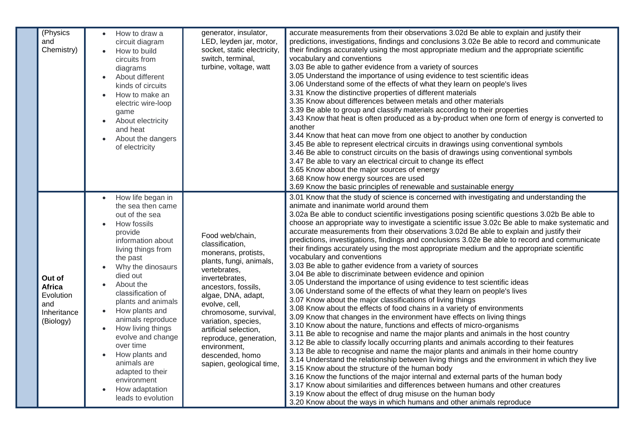| (Physics<br>and<br>Chemistry)                                           | How to draw a<br>$\bullet$<br>circuit diagram<br>How to build<br>$\bullet$<br>circuits from<br>diagrams<br>About different<br>kinds of circuits<br>How to make an<br>$\bullet$<br>electric wire-loop<br>game<br>About electricity<br>and heat<br>About the dangers<br>of electricity<br>How life began in<br>$\bullet$                                                                                                                                         | generator, insulator,<br>LED, leyden jar, motor,<br>socket, static electricity,<br>switch, terminal,<br>turbine, voltage, watt                                                                                                                                                                                                                         | accurate measurements from their observations 3.02d Be able to explain and justify their<br>predictions, investigations, findings and conclusions 3.02e Be able to record and communicate<br>their findings accurately using the most appropriate medium and the appropriate scientific<br>vocabulary and conventions<br>3.03 Be able to gather evidence from a variety of sources<br>3.05 Understand the importance of using evidence to test scientific ideas<br>3.06 Understand some of the effects of what they learn on people's lives<br>3.31 Know the distinctive properties of different materials<br>3.35 Know about differences between metals and other materials<br>3.39 Be able to group and classify materials according to their properties<br>3.43 Know that heat is often produced as a by-product when one form of energy is converted to<br>another<br>3.44 Know that heat can move from one object to another by conduction<br>3.45 Be able to represent electrical circuits in drawings using conventional symbols<br>3.46 Be able to construct circuits on the basis of drawings using conventional symbols<br>3.47 Be able to vary an electrical circuit to change its effect<br>3.65 Know about the major sources of energy<br>3.68 Know how energy sources are used<br>3.69 Know the basic principles of renewable and sustainable energy<br>3.01 Know that the study of science is concerned with investigating and understanding the                                                                                                                                                                                                                                                                                                                                                                                                                                         |
|-------------------------------------------------------------------------|----------------------------------------------------------------------------------------------------------------------------------------------------------------------------------------------------------------------------------------------------------------------------------------------------------------------------------------------------------------------------------------------------------------------------------------------------------------|--------------------------------------------------------------------------------------------------------------------------------------------------------------------------------------------------------------------------------------------------------------------------------------------------------------------------------------------------------|---------------------------------------------------------------------------------------------------------------------------------------------------------------------------------------------------------------------------------------------------------------------------------------------------------------------------------------------------------------------------------------------------------------------------------------------------------------------------------------------------------------------------------------------------------------------------------------------------------------------------------------------------------------------------------------------------------------------------------------------------------------------------------------------------------------------------------------------------------------------------------------------------------------------------------------------------------------------------------------------------------------------------------------------------------------------------------------------------------------------------------------------------------------------------------------------------------------------------------------------------------------------------------------------------------------------------------------------------------------------------------------------------------------------------------------------------------------------------------------------------------------------------------------------------------------------------------------------------------------------------------------------------------------------------------------------------------------------------------------------------------------------------------------------------------------------------------------------------------------------------------------------------------|
| Out of<br><b>Africa</b><br>Evolution<br>and<br>Inheritance<br>(Biology) | the sea then came<br>out of the sea<br>How fossils<br>$\bullet$<br>provide<br>information about<br>living things from<br>the past<br>Why the dinosaurs<br>died out<br>About the<br>$\bullet$<br>classification of<br>plants and animals<br>How plants and<br>$\bullet$<br>animals reproduce<br>How living things<br>evolve and change<br>over time<br>How plants and<br>animals are<br>adapted to their<br>environment<br>How adaptation<br>leads to evolution | Food web/chain,<br>classification,<br>monerans, protists,<br>plants, fungi, animals,<br>vertebrates,<br>invertebrates,<br>ancestors, fossils,<br>algae, DNA, adapt,<br>evolve, cell,<br>chromosome, survival,<br>variation, species,<br>artificial selection,<br>reproduce, generation,<br>environment.<br>descended, homo<br>sapien, geological time, | animate and inanimate world around them<br>3.02a Be able to conduct scientific investigations posing scientific questions 3.02b Be able to<br>choose an appropriate way to investigate a scientific issue 3.02c Be able to make systematic and<br>accurate measurements from their observations 3.02d Be able to explain and justify their<br>predictions, investigations, findings and conclusions 3.02e Be able to record and communicate<br>their findings accurately using the most appropriate medium and the appropriate scientific<br>vocabulary and conventions<br>3.03 Be able to gather evidence from a variety of sources<br>3.04 Be able to discriminate between evidence and opinion<br>3.05 Understand the importance of using evidence to test scientific ideas<br>3.06 Understand some of the effects of what they learn on people's lives<br>3.07 Know about the major classifications of living things<br>3.08 Know about the effects of food chains in a variety of environments<br>3.09 Know that changes in the environment have effects on living things<br>3.10 Know about the nature, functions and effects of micro-organisms<br>3.11 Be able to recognise and name the major plants and animals in the host country<br>3.12 Be able to classify locally occurring plants and animals according to their features<br>3.13 Be able to recognise and name the major plants and animals in their home country<br>3.14 Understand the relationship between living things and the environment in which they live<br>3.15 Know about the structure of the human body<br>3.16 Know the functions of the major internal and external parts of the human body<br>3.17 Know about similarities and differences between humans and other creatures<br>3.19 Know about the effect of drug misuse on the human body<br>3.20 Know about the ways in which humans and other animals reproduce |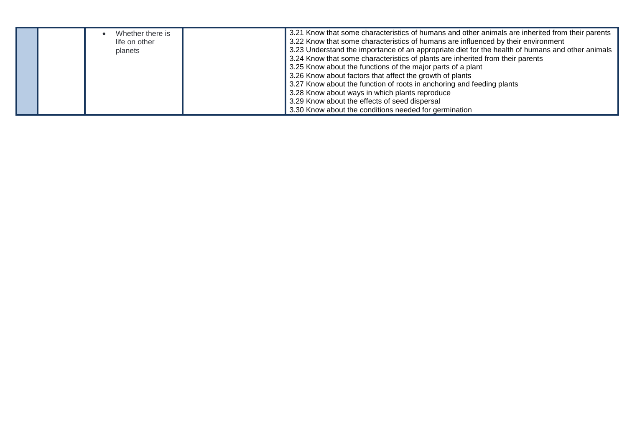| Whether there is<br>life on other<br>planets | 3.21 Know that some characteristics of humans and other animals are inherited from their parents<br>3.22 Know that some characteristics of humans are influenced by their environment<br>3.23 Understand the importance of an appropriate diet for the health of humans and other animals<br>3.24 Know that some characteristics of plants are inherited from their parents<br>3.25 Know about the functions of the major parts of a plant<br>3.26 Know about factors that affect the growth of plants<br>3.27 Know about the function of roots in anchoring and feeding plants<br>3.28 Know about ways in which plants reproduce<br>3.29 Know about the effects of seed dispersal |
|----------------------------------------------|------------------------------------------------------------------------------------------------------------------------------------------------------------------------------------------------------------------------------------------------------------------------------------------------------------------------------------------------------------------------------------------------------------------------------------------------------------------------------------------------------------------------------------------------------------------------------------------------------------------------------------------------------------------------------------|
|                                              | 3.30 Know about the conditions needed for germination                                                                                                                                                                                                                                                                                                                                                                                                                                                                                                                                                                                                                              |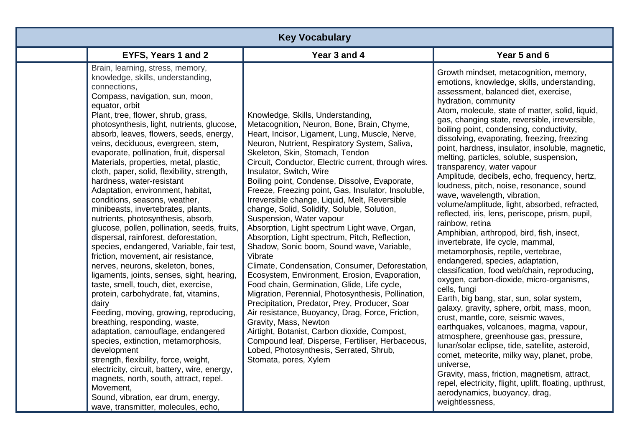| <b>Key Vocabulary</b>                                                                                                                                                                                                                                                                                                                                                                                                                                                                                                                                                                                                                                                                                                                                                                                                                                                                                                                                                                                                                                                                                                                                                                                                                                                                                                                                                                              |                                                                                                                                                                                                                                                                                                                                                                                                                                                                                                                                                                                                                                                                                                                                                                                                                                                                                                                                                                                                                                                                                                                                                                                                                       |                                                                                                                                                                                                                                                                                                                                                                                                                                                                                                                                                                                                                                                                                                                                                                                                                                                                                                                                                                                                                                                                                                                                                                                                                                                                                                                                                                                                                                                                                                                    |  |
|----------------------------------------------------------------------------------------------------------------------------------------------------------------------------------------------------------------------------------------------------------------------------------------------------------------------------------------------------------------------------------------------------------------------------------------------------------------------------------------------------------------------------------------------------------------------------------------------------------------------------------------------------------------------------------------------------------------------------------------------------------------------------------------------------------------------------------------------------------------------------------------------------------------------------------------------------------------------------------------------------------------------------------------------------------------------------------------------------------------------------------------------------------------------------------------------------------------------------------------------------------------------------------------------------------------------------------------------------------------------------------------------------|-----------------------------------------------------------------------------------------------------------------------------------------------------------------------------------------------------------------------------------------------------------------------------------------------------------------------------------------------------------------------------------------------------------------------------------------------------------------------------------------------------------------------------------------------------------------------------------------------------------------------------------------------------------------------------------------------------------------------------------------------------------------------------------------------------------------------------------------------------------------------------------------------------------------------------------------------------------------------------------------------------------------------------------------------------------------------------------------------------------------------------------------------------------------------------------------------------------------------|--------------------------------------------------------------------------------------------------------------------------------------------------------------------------------------------------------------------------------------------------------------------------------------------------------------------------------------------------------------------------------------------------------------------------------------------------------------------------------------------------------------------------------------------------------------------------------------------------------------------------------------------------------------------------------------------------------------------------------------------------------------------------------------------------------------------------------------------------------------------------------------------------------------------------------------------------------------------------------------------------------------------------------------------------------------------------------------------------------------------------------------------------------------------------------------------------------------------------------------------------------------------------------------------------------------------------------------------------------------------------------------------------------------------------------------------------------------------------------------------------------------------|--|
| EYFS, Years 1 and 2                                                                                                                                                                                                                                                                                                                                                                                                                                                                                                                                                                                                                                                                                                                                                                                                                                                                                                                                                                                                                                                                                                                                                                                                                                                                                                                                                                                | Year 3 and 4                                                                                                                                                                                                                                                                                                                                                                                                                                                                                                                                                                                                                                                                                                                                                                                                                                                                                                                                                                                                                                                                                                                                                                                                          | Year 5 and 6                                                                                                                                                                                                                                                                                                                                                                                                                                                                                                                                                                                                                                                                                                                                                                                                                                                                                                                                                                                                                                                                                                                                                                                                                                                                                                                                                                                                                                                                                                       |  |
| Brain, learning, stress, memory,<br>knowledge, skills, understanding,<br>connections,<br>Compass, navigation, sun, moon,<br>equator, orbit<br>Plant, tree, flower, shrub, grass,<br>photosynthesis, light, nutrients, glucose,<br>absorb, leaves, flowers, seeds, energy,<br>veins, deciduous, evergreen, stem,<br>evaporate, pollination, fruit, dispersal<br>Materials, properties, metal, plastic,<br>cloth, paper, solid, flexibility, strength,<br>hardness, water-resistant<br>Adaptation, environment, habitat,<br>conditions, seasons, weather,<br>minibeasts, invertebrates, plants,<br>nutrients, photosynthesis, absorb,<br>glucose, pollen, pollination, seeds, fruits,<br>dispersal, rainforest, deforestation,<br>species, endangered, Variable, fair test,<br>friction, movement, air resistance,<br>nerves, neurons, skeleton, bones,<br>ligaments, joints, senses, sight, hearing,<br>taste, smell, touch, diet, exercise,<br>protein, carbohydrate, fat, vitamins,<br>dairy<br>Feeding, moving, growing, reproducing,<br>breathing, responding, waste,<br>adaptation, camouflage, endangered<br>species, extinction, metamorphosis,<br>development<br>strength, flexibility, force, weight,<br>electricity, circuit, battery, wire, energy,<br>magnets, north, south, attract, repel.<br>Movement,<br>Sound, vibration, ear drum, energy,<br>wave, transmitter, molecules, echo, | Knowledge, Skills, Understanding,<br>Metacognition, Neuron, Bone, Brain, Chyme,<br>Heart, Incisor, Ligament, Lung, Muscle, Nerve,<br>Neuron, Nutrient, Respiratory System, Saliva,<br>Skeleton, Skin, Stomach, Tendon<br>Circuit, Conductor, Electric current, through wires.<br>Insulator, Switch, Wire<br>Boiling point, Condense, Dissolve, Evaporate,<br>Freeze, Freezing point, Gas, Insulator, Insoluble,<br>Irreversible change, Liquid, Melt, Reversible<br>change, Solid, Solidify, Soluble, Solution,<br>Suspension, Water vapour<br>Absorption, Light spectrum Light wave, Organ,<br>Absorption, Light spectrum, Pitch, Reflection,<br>Shadow, Sonic boom, Sound wave, Variable,<br>Vibrate<br>Climate, Condensation, Consumer, Deforestation,<br>Ecosystem, Environment, Erosion, Evaporation,<br>Food chain, Germination, Glide, Life cycle,<br>Migration, Perennial, Photosynthesis, Pollination,<br>Precipitation, Predator, Prey, Producer, Soar<br>Air resistance, Buoyancy, Drag, Force, Friction,<br>Gravity, Mass, Newton<br>Airtight, Botanist, Carbon dioxide, Compost,<br>Compound leaf, Disperse, Fertiliser, Herbaceous,<br>Lobed, Photosynthesis, Serrated, Shrub,<br>Stomata, pores, Xylem | Growth mindset, metacognition, memory,<br>emotions, knowledge, skills, understanding,<br>assessment, balanced diet, exercise,<br>hydration, community<br>Atom, molecule, state of matter, solid, liquid,<br>gas, changing state, reversible, irreversible,<br>boiling point, condensing, conductivity,<br>dissolving, evaporating, freezing, freezing<br>point, hardness, insulator, insoluble, magnetic,<br>melting, particles, soluble, suspension,<br>transparency, water vapour<br>Amplitude, decibels, echo, frequency, hertz,<br>loudness, pitch, noise, resonance, sound<br>wave, wavelength, vibration,<br>volume/amplitude, light, absorbed, refracted,<br>reflected, iris, lens, periscope, prism, pupil,<br>rainbow, retina<br>Amphibian, arthropod, bird, fish, insect,<br>invertebrate, life cycle, mammal,<br>metamorphosis, reptile, vertebrae,<br>endangered, species, adaptation,<br>classification, food web/chain, reproducing,<br>oxygen, carbon-dioxide, micro-organisms,<br>cells, fungi<br>Earth, big bang, star, sun, solar system,<br>galaxy, gravity, sphere, orbit, mass, moon,<br>crust, mantle, core, seismic waves,<br>earthquakes, volcanoes, magma, vapour,<br>atmosphere, greenhouse gas, pressure,<br>lunar/solar eclipse, tide, satellite, asteroid,<br>comet, meteorite, milky way, planet, probe,<br>universe,<br>Gravity, mass, friction, magnetism, attract,<br>repel, electricity, flight, uplift, floating, upthrust,<br>aerodynamics, buoyancy, drag,<br>weightlessness, |  |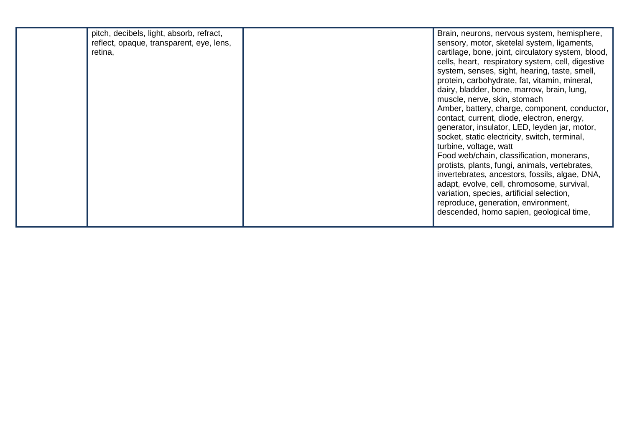| pitch, decibels, light, absorb, refract,<br>reflect, opaque, transparent, eye, lens,<br>retina, |  | Brain, neurons, nervous system, hemisphere,<br>sensory, motor, sketelal system, ligaments,<br>cartilage, bone, joint, circulatory system, blood,<br>cells, heart, respiratory system, cell, digestive<br>system, senses, sight, hearing, taste, smell,<br>protein, carbohydrate, fat, vitamin, mineral,<br>dairy, bladder, bone, marrow, brain, lung,<br>muscle, nerve, skin, stomach<br>Amber, battery, charge, component, conductor,<br>contact, current, diode, electron, energy,<br>generator, insulator, LED, leyden jar, motor,<br>socket, static electricity, switch, terminal,<br>turbine, voltage, watt<br>Food web/chain, classification, monerans,<br>protists, plants, fungi, animals, vertebrates,<br>invertebrates, ancestors, fossils, algae, DNA,<br>adapt, evolve, cell, chromosome, survival,<br>variation, species, artificial selection,<br>reproduce, generation, environment,<br>descended, homo sapien, geological time, |
|-------------------------------------------------------------------------------------------------|--|-------------------------------------------------------------------------------------------------------------------------------------------------------------------------------------------------------------------------------------------------------------------------------------------------------------------------------------------------------------------------------------------------------------------------------------------------------------------------------------------------------------------------------------------------------------------------------------------------------------------------------------------------------------------------------------------------------------------------------------------------------------------------------------------------------------------------------------------------------------------------------------------------------------------------------------------------|
|-------------------------------------------------------------------------------------------------|--|-------------------------------------------------------------------------------------------------------------------------------------------------------------------------------------------------------------------------------------------------------------------------------------------------------------------------------------------------------------------------------------------------------------------------------------------------------------------------------------------------------------------------------------------------------------------------------------------------------------------------------------------------------------------------------------------------------------------------------------------------------------------------------------------------------------------------------------------------------------------------------------------------------------------------------------------------|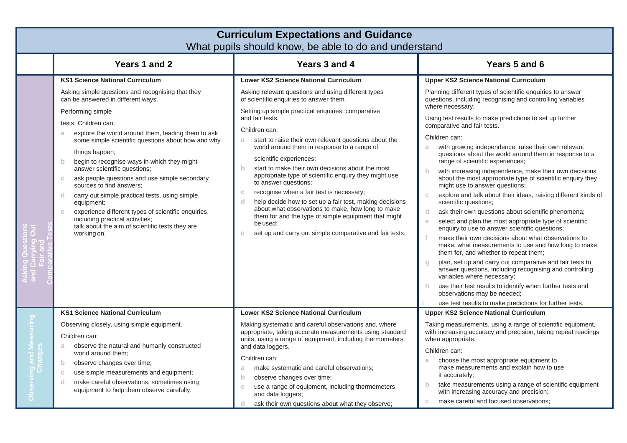| <b>Curriculum Expectations and Guidance</b><br>What pupils should know, be able to do and understand |                                                                                                                                                                                                                                                                                                                                                                                                                                                                                                                                                                                                                                                                                                                                                         |                                                                                                                                                                                                                                                                                                                                                                                                                                                                                                                                                                                                                                                                                                                                                                                                                                                             |                                                                                                                                                                                                                                                                                                                                                                                                                                                                                                                                                                                                                                                                                                                                                                                                                                                                                                                                                                                                                                                                                                                                                                                                                                                                                                                                                                          |  |
|------------------------------------------------------------------------------------------------------|---------------------------------------------------------------------------------------------------------------------------------------------------------------------------------------------------------------------------------------------------------------------------------------------------------------------------------------------------------------------------------------------------------------------------------------------------------------------------------------------------------------------------------------------------------------------------------------------------------------------------------------------------------------------------------------------------------------------------------------------------------|-------------------------------------------------------------------------------------------------------------------------------------------------------------------------------------------------------------------------------------------------------------------------------------------------------------------------------------------------------------------------------------------------------------------------------------------------------------------------------------------------------------------------------------------------------------------------------------------------------------------------------------------------------------------------------------------------------------------------------------------------------------------------------------------------------------------------------------------------------------|--------------------------------------------------------------------------------------------------------------------------------------------------------------------------------------------------------------------------------------------------------------------------------------------------------------------------------------------------------------------------------------------------------------------------------------------------------------------------------------------------------------------------------------------------------------------------------------------------------------------------------------------------------------------------------------------------------------------------------------------------------------------------------------------------------------------------------------------------------------------------------------------------------------------------------------------------------------------------------------------------------------------------------------------------------------------------------------------------------------------------------------------------------------------------------------------------------------------------------------------------------------------------------------------------------------------------------------------------------------------------|--|
|                                                                                                      | Years 1 and 2                                                                                                                                                                                                                                                                                                                                                                                                                                                                                                                                                                                                                                                                                                                                           | Years 3 and 4                                                                                                                                                                                                                                                                                                                                                                                                                                                                                                                                                                                                                                                                                                                                                                                                                                               | Years 5 and 6                                                                                                                                                                                                                                                                                                                                                                                                                                                                                                                                                                                                                                                                                                                                                                                                                                                                                                                                                                                                                                                                                                                                                                                                                                                                                                                                                            |  |
| $\frac{1}{2}$<br>ပုံ က<br>ပါ<br>រ<br>វិ តី                                                           | <b>KS1 Science National Curriculum</b><br>Asking simple questions and recognising that they<br>can be answered in different ways.<br>Performing simple<br>tests. Children can:<br>explore the world around them, leading them to ask<br>some simple scientific questions about how and why<br>things happen;<br>begin to recognise ways in which they might<br>$\mathbf b$<br>answer scientific questions;<br>ask people questions and use simple secondary<br>$\mathbb{C}$<br>sources to find answers;<br>carry out simple practical tests, using simple<br>d<br>equipment;<br>experience different types of scientific enquiries,<br>$\triangle$<br>including practical activities;<br>talk about the aim of scientific tests they are<br>working on. | <b>Lower KS2 Science National Curriculum</b><br>Asking relevant questions and using different types<br>of scientific enquiries to answer them.<br>Setting up simple practical enquiries, comparative<br>and fair tests.<br>Children can:<br>start to raise their own relevant questions about the<br>a<br>world around them in response to a range of<br>scientific experiences;<br>start to make their own decisions about the most<br>$\mathbf b$<br>appropriate type of scientific enquiry they might use<br>to answer questions;<br>recognise when a fair test is necessary;<br>$\mathbb{C}^-$<br>d<br>help decide how to set up a fair test, making decisions<br>about what observations to make, how long to make<br>them for and the type of simple equipment that might<br>be used:<br>set up and carry out simple comparative and fair tests.<br>e | <b>Upper KS2 Science National Curriculum</b><br>Planning different types of scientific enquiries to answer<br>questions, including recognising and controlling variables<br>where necessary.<br>Using test results to make predictions to set up further<br>comparative and fair tests.<br>Children can:<br>with growing independence, raise their own relevant<br>a<br>questions about the world around them in response to a<br>range of scientific experiences;<br>with increasing independence, make their own decisions<br>$\mathbf{b}$<br>about the most appropriate type of scientific enquiry they<br>might use to answer questions;<br>explore and talk about their ideas, raising different kinds of<br>$\mathbb{C}$<br>scientific questions;<br>d<br>ask their own questions about scientific phenomena;<br>select and plan the most appropriate type of scientific<br>$\mathbf{e}$<br>enquiry to use to answer scientific questions;<br>make their own decisions about what observations to<br>make, what measurements to use and how long to make<br>them for, and whether to repeat them;<br>plan, set up and carry out comparative and fair tests to<br>$\Box$<br>answer questions, including recognising and controlling<br>variables where necessary;<br>use their test results to identify when further tests and<br>h.<br>observations may be needed; |  |
|                                                                                                      | <b>KS1 Science National Curriculum</b>                                                                                                                                                                                                                                                                                                                                                                                                                                                                                                                                                                                                                                                                                                                  | Lower KS2 Science National Curriculum                                                                                                                                                                                                                                                                                                                                                                                                                                                                                                                                                                                                                                                                                                                                                                                                                       | use test results to make predictions for further tests.<br><b>Upper KS2 Science National Curriculum</b>                                                                                                                                                                                                                                                                                                                                                                                                                                                                                                                                                                                                                                                                                                                                                                                                                                                                                                                                                                                                                                                                                                                                                                                                                                                                  |  |
| ring<br>$\ddot{\delta}$                                                                              | Observing closely, using simple equipment.<br>Children can:<br>observe the natural and humanly constructed<br>a<br>world around them;<br>observe changes over time;<br>$\mathsf{b}$<br>use simple measurements and equipment;<br>$\mathbb{C}$<br>make careful observations, sometimes using<br>d<br>equipment to help them observe carefully.                                                                                                                                                                                                                                                                                                                                                                                                           | Making systematic and careful observations and, where<br>appropriate, taking accurate measurements using standard<br>units, using a range of equipment, including thermometers<br>and data loggers.<br>Children can:<br>make systematic and careful observations;<br>a<br>observe changes over time;<br>$\mathsf{b}$<br>use a range of equipment, including thermometers<br>$\mathbb{C}$<br>and data loggers;                                                                                                                                                                                                                                                                                                                                                                                                                                               | Taking measurements, using a range of scientific equipment,<br>with increasing accuracy and precision, taking repeat readings<br>when appropriate.<br>Children can:<br>choose the most appropriate equipment to<br>a<br>make measurements and explain how to use<br>it accurately;<br>take measurements using a range of scientific equipment<br>$\mathsf{b}$<br>with increasing accuracy and precision;<br>make careful and focused observations;<br>$\mathbb{C}$                                                                                                                                                                                                                                                                                                                                                                                                                                                                                                                                                                                                                                                                                                                                                                                                                                                                                                       |  |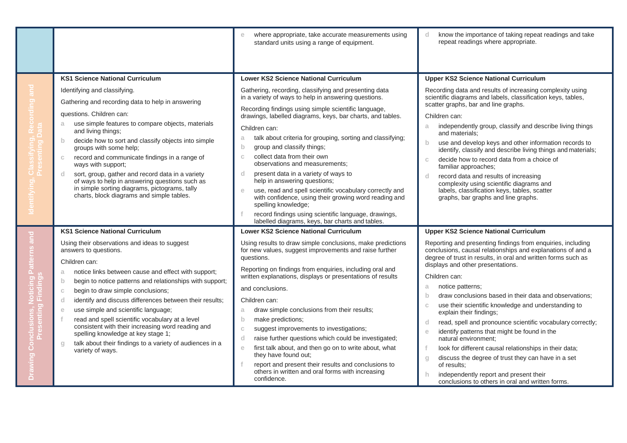|                                |                                                                                                                                                                                                                                                                                                                                                                                                                                                                                                                                                                                                                                                           | where appropriate, take accurate measurements using<br>е<br>standard units using a range of equipment.                                                                                                                                                                                                                                                                                                                                                                                                                                                                                                                                                                                                                                                                                                                        | know the importance of taking repeat readings and take<br>repeat readings where appropriate.                                                                                                                                                                                                                                                                                                                                                                                                                                                                                                                                                                                                                                                                                                                                                                                       |
|--------------------------------|-----------------------------------------------------------------------------------------------------------------------------------------------------------------------------------------------------------------------------------------------------------------------------------------------------------------------------------------------------------------------------------------------------------------------------------------------------------------------------------------------------------------------------------------------------------------------------------------------------------------------------------------------------------|-------------------------------------------------------------------------------------------------------------------------------------------------------------------------------------------------------------------------------------------------------------------------------------------------------------------------------------------------------------------------------------------------------------------------------------------------------------------------------------------------------------------------------------------------------------------------------------------------------------------------------------------------------------------------------------------------------------------------------------------------------------------------------------------------------------------------------|------------------------------------------------------------------------------------------------------------------------------------------------------------------------------------------------------------------------------------------------------------------------------------------------------------------------------------------------------------------------------------------------------------------------------------------------------------------------------------------------------------------------------------------------------------------------------------------------------------------------------------------------------------------------------------------------------------------------------------------------------------------------------------------------------------------------------------------------------------------------------------|
|                                | <b>KS1 Science National Curriculum</b><br>Identifying and classifying.<br>Gathering and recording data to help in answering<br>questions. Children can:<br>use simple features to compare objects, materials<br>a.<br>and living things;<br>decide how to sort and classify objects into simple<br>b.<br>groups with some help;<br>record and communicate findings in a range of<br>ways with support;<br>sort, group, gather and record data in a variety<br>d<br>of ways to help in answering questions such as<br>in simple sorting diagrams, pictograms, tally<br>charts, block diagrams and simple tables.                                           | <b>Lower KS2 Science National Curriculum</b><br>Gathering, recording, classifying and presenting data<br>in a variety of ways to help in answering questions.<br>Recording findings using simple scientific language,<br>drawings, labelled diagrams, keys, bar charts, and tables.<br>Children can:<br>talk about criteria for grouping, sorting and classifying;<br>a<br>group and classify things;<br>$\mathbf b$<br>collect data from their own<br>C<br>observations and measurements:<br>present data in a variety of ways to<br>d<br>help in answering questions;<br>use, read and spell scientific vocabulary correctly and<br>with confidence, using their growing word reading and<br>spelling knowledge;<br>record findings using scientific language, drawings,<br>labelled diagrams, keys, bar charts and tables. | <b>Upper KS2 Science National Curriculum</b><br>Recording data and results of increasing complexity using<br>scientific diagrams and labels, classification keys, tables,<br>scatter graphs, bar and line graphs.<br>Children can:<br>independently group, classify and describe living things<br>and materials:<br>$\mathbf{b}$<br>use and develop keys and other information records to<br>identify, classify and describe living things and materials;<br>decide how to record data from a choice of<br>$\mathbb{C}$<br>familiar approaches;<br>record data and results of increasing<br>d.<br>complexity using scientific diagrams and<br>labels, classification keys, tables, scatter<br>graphs, bar graphs and line graphs.                                                                                                                                                  |
| <b>Conclus</b><br>Pres<br>guin | <b>KS1 Science National Curriculum</b><br>Using their observations and ideas to suggest<br>answers to questions.<br>Children can:<br>notice links between cause and effect with support;<br>a.<br>begin to notice patterns and relationships with support;<br>b.<br>begin to draw simple conclusions;<br>C<br>identify and discuss differences between their results;<br>d<br>use simple and scientific language;<br>e<br>read and spell scientific vocabulary at a level<br>consistent with their increasing word reading and<br>spelling knowledge at key stage 1;<br>talk about their findings to a variety of audiences in a<br>g<br>variety of ways. | <b>Lower KS2 Science National Curriculum</b><br>Using results to draw simple conclusions, make predictions<br>for new values, suggest improvements and raise further<br>questions.<br>Reporting on findings from enquiries, including oral and<br>written explanations, displays or presentations of results<br>and conclusions.<br>Children can:<br>draw simple conclusions from their results;<br>a<br>$\mathbf b$<br>make predictions:<br>suggest improvements to investigations;<br>$\mathbb C$<br>raise further questions which could be investigated;<br>d<br>first talk about, and then go on to write about, what<br>$\mathbf{e}$<br>they have found out;<br>report and present their results and conclusions to<br>others in written and oral forms with increasing<br>confidence.                                   | <b>Upper KS2 Science National Curriculum</b><br>Reporting and presenting findings from enquiries, including<br>conclusions, causal relationships and explanations of and a<br>degree of trust in results, in oral and written forms such as<br>displays and other presentations.<br>Children can:<br>notice patterns;<br>a<br>draw conclusions based in their data and observations;<br>$\mathsf{b}$<br>use their scientific knowledge and understanding to<br>$\mathbb C$<br>explain their findings;<br>read, spell and pronounce scientific vocabulary correctly;<br>identify patterns that might be found in the<br>natural environment:<br>look for different causal relationships in their data;<br>discuss the degree of trust they can have in a set<br>$\Box$<br>of results:<br>independently report and present their<br>conclusions to others in oral and written forms. |